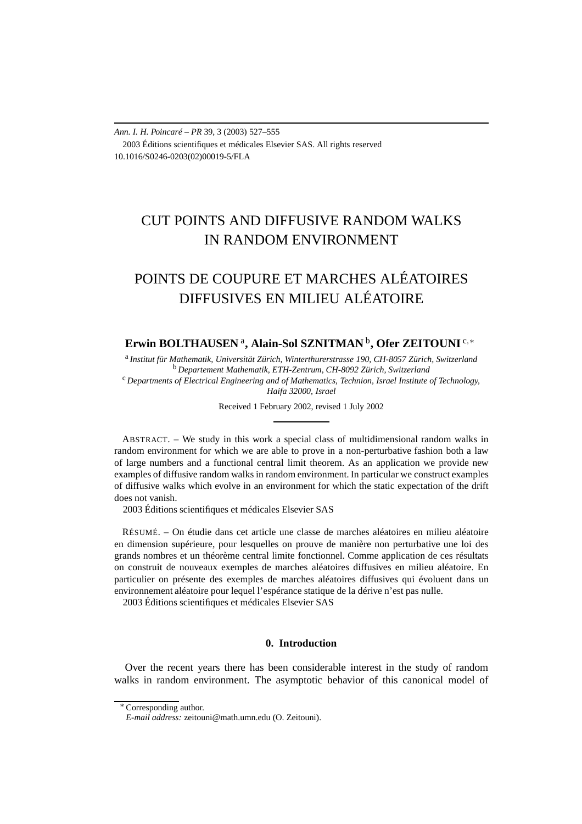*Ann. I. H. Poincaré – PR* 39, 3 (2003) 527–555 2003 Éditions scientifiques et médicales Elsevier SAS. All rights reserved 10.1016/S0246-0203(02)00019-5/FLA

## CUT POINTS AND DIFFUSIVE RANDOM WALKS IN RANDOM ENVIRONMENT

# POINTS DE COUPURE ET MARCHES ALÉATOIRES DIFFUSIVES EN MILIEU ALÉATOIRE

### **Erwin BOLTHAUSEN** <sup>a</sup>**, Alain-Sol SZNITMAN** <sup>b</sup>**, Ofer ZEITOUNI** <sup>c</sup>*,*<sup>∗</sup>

<sup>a</sup> *Institut für Mathematik, Universität Zürich, Winterthurerstrasse 190, CH-8057 Zürich, Switzerland* <sup>b</sup> *Departement Mathematik, ETH-Zentrum, CH-8092 Zürich, Switzerland* <sup>c</sup> *Departments of Electrical Engineering and of Mathematics, Technion, Israel Institute of Technology,*

*Haifa 32000, Israel*

Received 1 February 2002, revised 1 July 2002

ABSTRACT. – We study in this work a special class of multidimensional random walks in random environment for which we are able to prove in a non-perturbative fashion both a law of large numbers and a functional central limit theorem. As an application we provide new examples of diffusive random walks in random environment. In particular we construct examples of diffusive walks which evolve in an environment for which the static expectation of the drift does not vanish.

2003 Éditions scientifiques et médicales Elsevier SAS

RÉSUMÉ. – On étudie dans cet article une classe de marches aléatoires en milieu aléatoire en dimension supérieure, pour lesquelles on prouve de manière non perturbative une loi des grands nombres et un théorème central limite fonctionnel. Comme application de ces résultats on construit de nouveaux exemples de marches aléatoires diffusives en milieu aléatoire. En particulier on présente des exemples de marches aléatoires diffusives qui évoluent dans un environnement aléatoire pour lequel l'espérance statique de la dérive n'est pas nulle. 2003 Éditions scientifiques et médicales Elsevier SAS

#### **0. Introduction**

Over the recent years there has been considerable interest in the study of random walks in random environment. The asymptotic behavior of this canonical model of

<sup>∗</sup> Corresponding author.

*E-mail address:* zeitouni@math.umn.edu (O. Zeitouni).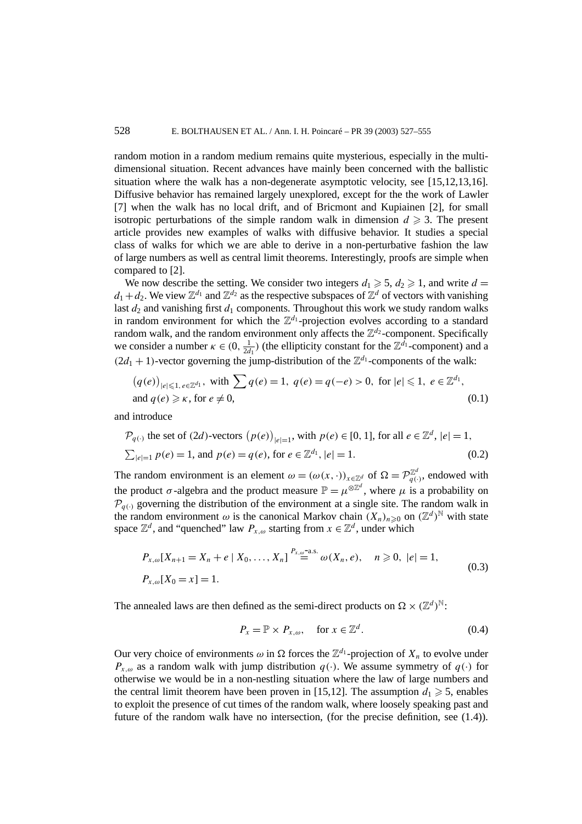random motion in a random medium remains quite mysterious, especially in the multidimensional situation. Recent advances have mainly been concerned with the ballistic situation where the walk has a non-degenerate asymptotic velocity, see [15,12,13,16]. Diffusive behavior has remained largely unexplored, except for the the work of Lawler [7] when the walk has no local drift, and of Bricmont and Kupiainen [2], for small isotropic perturbations of the simple random walk in dimension  $d \geq 3$ . The present article provides new examples of walks with diffusive behavior. It studies a special class of walks for which we are able to derive in a non-perturbative fashion the law of large numbers as well as central limit theorems. Interestingly, proofs are simple when compared to [2].

We now describe the setting. We consider two integers  $d_1 \geq 5$ ,  $d_2 \geq 1$ , and write  $d =$  $d_1 + d_2$ . We view  $\mathbb{Z}^{d_1}$  and  $\mathbb{Z}^{d_2}$  as the respective subspaces of  $\mathbb{Z}^d$  of vectors with vanishing last  $d_2$  and vanishing first  $d_1$  components. Throughout this work we study random walks in random environment for which the  $\mathbb{Z}^{d_1}$ -projection evolves according to a standard random walk, and the random environment only affects the  $\mathbb{Z}^{d_2}$ -component. Specifically we consider a number  $\kappa \in (0, \frac{1}{2d_1})$  (the ellipticity constant for the  $\mathbb{Z}^{\bar{d_1}}$ -component) and a  $(2d_1 + 1)$ -vector governing the jump-distribution of the  $\mathbb{Z}^{d_1}$ -components of the walk:

$$
(q(e))_{|e|\leqslant 1, e\in \mathbb{Z}^{d_1}}, \text{ with } \sum q(e) = 1, q(e) = q(-e) > 0, \text{ for } |e| \leqslant 1, e \in \mathbb{Z}^{d_1},
$$
  
and  $q(e) \geqslant \kappa$ , for  $e \neq 0$ ,  $(0.1)$ 

and introduce

$$
\mathcal{P}_{q(\cdot)} \text{ the set of } (2d)\text{-vectors } (p(e))_{|e|=1}, \text{ with } p(e) \in [0, 1], \text{ for all } e \in \mathbb{Z}^d, |e|=1, \\
\sum_{|e|=1} p(e) = 1, \text{ and } p(e) = q(e), \text{ for } e \in \mathbb{Z}^{d_1}, |e|=1.
$$
\n(0.2)

The random environment is an element  $\omega = (\omega(x, \cdot))_{x \in \mathbb{Z}^d}$  of  $\Omega = \mathcal{P}_{q(\cdot)}^{\mathbb{Z}^d}$ , endowed with the product  $\sigma$ -algebra and the product measure  $\mathbb{P} = \mu^{\otimes \mathbb{Z}^d}$ , where  $\mu$  is a probability on  $\mathcal{P}_{q(\cdot)}$  governing the distribution of the environment at a single site. The random walk in the random environment  $\omega$  is the canonical Markov chain  $(X_n)_{n\geqslant 0}$  on  $(\mathbb{Z}^d)^{\mathbb{N}}$  with state space  $\mathbb{Z}^d$ , and "quenched" law  $P_{x,\omega}$  starting from  $x \in \mathbb{Z}^d$ , under which

$$
P_{x,\omega}[X_{n+1} = X_n + e \mid X_0, \dots, X_n] \stackrel{P_{x,\omega} - a.s.}{=} \omega(X_n, e), \quad n \ge 0, \ |e| = 1,
$$
  
\n
$$
P_{x,\omega}[X_0 = x] = 1.
$$
\n(0.3)

The annealed laws are then defined as the semi-direct products on  $\Omega \times (\mathbb{Z}^d)^{\mathbb{N}}$ :

$$
P_x = \mathbb{P} \times P_{x,\omega}, \quad \text{for } x \in \mathbb{Z}^d. \tag{0.4}
$$

Our very choice of environments  $\omega$  in  $\Omega$  forces the  $\mathbb{Z}^{d_1}$ -projection of  $X_n$  to evolve under  $P_{x,\omega}$  as a random walk with jump distribution  $q(\cdot)$ . We assume symmetry of  $q(\cdot)$  for otherwise we would be in a non-nestling situation where the law of large numbers and the central limit theorem have been proven in [15,12]. The assumption  $d_1 \geq 5$ , enables to exploit the presence of cut times of the random walk, where loosely speaking past and future of the random walk have no intersection, (for the precise definition, see (1.4)).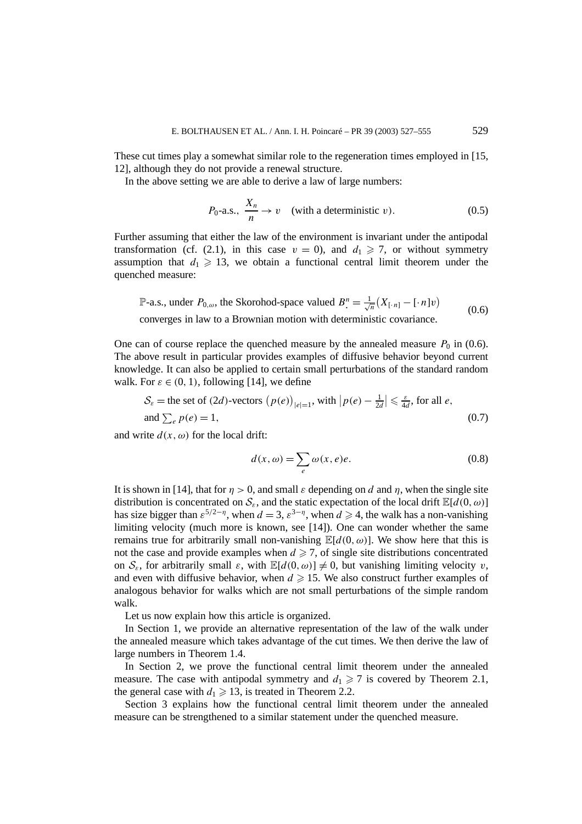These cut times play a somewhat similar role to the regeneration times employed in [15, 12], although they do not provide a renewal structure.

In the above setting we are able to derive a law of large numbers:

$$
P_0
$$
-a.s.,  $\frac{X_n}{n} \to v$  (with a deterministic v). (0.5)

Further assuming that either the law of the environment is invariant under the antipodal transformation (cf. (2.1), in this case  $v = 0$ ), and  $d_1 \ge 7$ , or without symmetry assumption that  $d_1 \geq 13$ , we obtain a functional central limit theorem under the quenched measure:

P-a.s., under  $P_{0,\omega}$ , the Skorohod-space valued  $B^n = \frac{1}{\sqrt{n}}$  $\frac{1}{n}(X_{\lbrack \cdot n \rbrack} - \lbrack \cdot n \rbrack v)$ converges in law to a Brownian motion with deterministic covariance. (0.6)

One can of course replace the quenched measure by the annealed measure  $P_0$  in (0.6). The above result in particular provides examples of diffusive behavior beyond current knowledge. It can also be applied to certain small perturbations of the standard random walk. For  $\varepsilon \in (0, 1)$ , following [14], we define

$$
\mathcal{S}_{\varepsilon} = \text{the set of } (2d)\text{-vectors } (p(e))_{|e|=1}, \text{ with } |p(e) - \frac{1}{2d}| \leq \frac{\varepsilon}{4d}, \text{ for all } e,
$$
  
and  $\sum_{e} p(e) = 1,$  (0.7)

and write  $d(x, \omega)$  for the local drift:

$$
d(x, \omega) = \sum_{e} \omega(x, e)e. \tag{0.8}
$$

It is shown in [14], that for  $\eta > 0$ , and small  $\varepsilon$  depending on *d* and  $\eta$ , when the single site distribution is concentrated on  $S_{\varepsilon}$ , and the static expectation of the local drift  $\mathbb{E}[d(0,\omega)]$ has size bigger than  $\varepsilon^{5/2-\eta}$ , when  $d = 3$ ,  $\varepsilon^{3-\eta}$ , when  $d \ge 4$ , the walk has a non-vanishing limiting velocity (much more is known, see [14]). One can wonder whether the same remains true for arbitrarily small non-vanishing  $\mathbb{E}[d(0,\omega)]$ . We show here that this is not the case and provide examples when  $d \ge 7$ , of single site distributions concentrated on  $S_{\epsilon}$ , for arbitrarily small  $\varepsilon$ , with  $\mathbb{E}[d(0,\omega)] \neq 0$ , but vanishing limiting velocity *v*, and even with diffusive behavior, when  $d \geq 15$ . We also construct further examples of analogous behavior for walks which are not small perturbations of the simple random walk.

Let us now explain how this article is organized.

In Section 1, we provide an alternative representation of the law of the walk under the annealed measure which takes advantage of the cut times. We then derive the law of large numbers in Theorem 1.4.

In Section 2, we prove the functional central limit theorem under the annealed measure. The case with antipodal symmetry and  $d_1 \geq 7$  is covered by Theorem 2.1, the general case with  $d_1 \geq 13$ , is treated in Theorem 2.2.

Section 3 explains how the functional central limit theorem under the annealed measure can be strengthened to a similar statement under the quenched measure.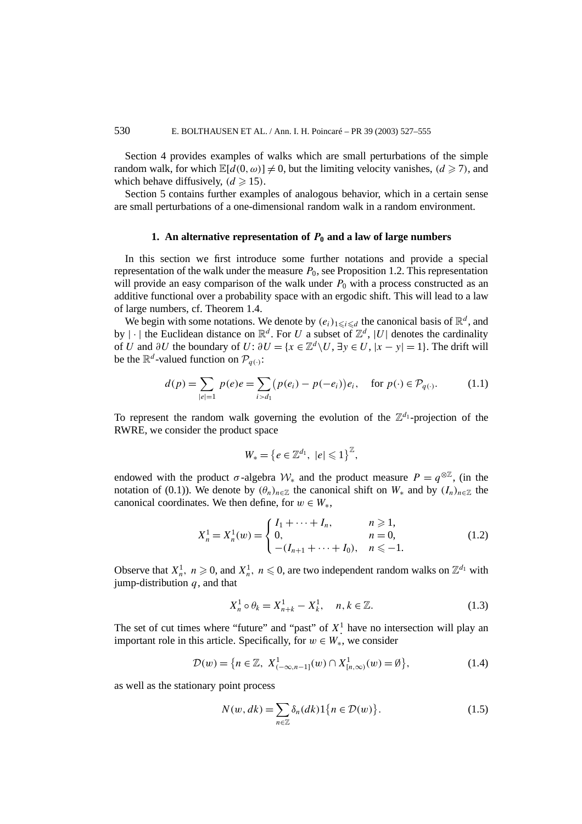Section 4 provides examples of walks which are small perturbations of the simple random walk, for which  $\mathbb{E}[d(0, \omega)] \neq 0$ , but the limiting velocity vanishes,  $(d \geq 7)$ , and which behave diffusively,  $(d \ge 15)$ .

Section 5 contains further examples of analogous behavior, which in a certain sense are small perturbations of a one-dimensional random walk in a random environment.

### **1.** An alternative representation of  $P_0$  and a law of large numbers

In this section we first introduce some further notations and provide a special representation of the walk under the measure  $P_0$ , see Proposition 1.2. This representation will provide an easy comparison of the walk under  $P_0$  with a process constructed as an additive functional over a probability space with an ergodic shift. This will lead to a law of large numbers, cf. Theorem 1.4.

We begin with some notations. We denote by  $(e_i)_{1 \leq i \leq d}$  the canonical basis of  $\mathbb{R}^d$ , and by  $|\cdot|$  the Euclidean distance on  $\mathbb{R}^d$ . For *U* a subset of  $\mathbb{Z}^d$ ,  $|U|$  denotes the cardinality of *U* and  $\partial U$  the boundary of *U*:  $\partial U = \{x \in \mathbb{Z}^d \setminus U, \exists y \in U, |x - y| = 1\}$ . The drift will be the  $\mathbb{R}^d$ -valued function on  $\mathcal{P}_{q(\cdot)}$ :

$$
d(p) = \sum_{|e|=1} p(e)e = \sum_{i>d_1} (p(e_i) - p(-e_i))e_i, \text{ for } p(\cdot) \in \mathcal{P}_{q(\cdot)}.
$$
 (1.1)

To represent the random walk governing the evolution of the  $\mathbb{Z}^{d_1}$ -projection of the RWRE, we consider the product space

$$
W_* = \left\{ e \in \mathbb{Z}^{d_1}, \ |e| \leqslant 1 \right\}^{\mathbb{Z}},
$$

endowed with the product  $\sigma$ -algebra  $W_*$  and the product measure  $P = q^{\otimes \mathbb{Z}}$ , (in the notation of (0.1)). We denote by  $(\theta_n)_{n \in \mathbb{Z}}$  the canonical shift on  $W_*$  and by  $(I_n)_{n \in \mathbb{Z}}$  the canonical coordinates. We then define, for  $w \in W_*$ ,

$$
X_n^1 = X_n^1(w) = \begin{cases} I_1 + \dots + I_n, & n \ge 1, \\ 0, & n = 0, \\ -(I_{n+1} + \dots + I_0), & n \le -1. \end{cases}
$$
(1.2)

Observe that  $X_n^1$ ,  $n \ge 0$ , and  $X_n^1$ ,  $n \le 0$ , are two independent random walks on  $\mathbb{Z}^{d_1}$  with jump-distribution *q*, and that

$$
X_n^1 \circ \theta_k = X_{n+k}^1 - X_k^1, \quad n, k \in \mathbb{Z}.
$$
 (1.3)

The set of cut times where "future" and "past" of  $X^1$  have no intersection will play an important role in this article. Specifically, for  $w \in W_*$ , we consider

$$
\mathcal{D}(w) = \{ n \in \mathbb{Z}, \ X^1_{(-\infty, n-1]}(w) \cap X^1_{[n,\infty)}(w) = \emptyset \},\tag{1.4}
$$

as well as the stationary point process

$$
N(w, dk) = \sum_{n \in \mathbb{Z}} \delta_n(dk) 1\{n \in \mathcal{D}(w)\}.
$$
 (1.5)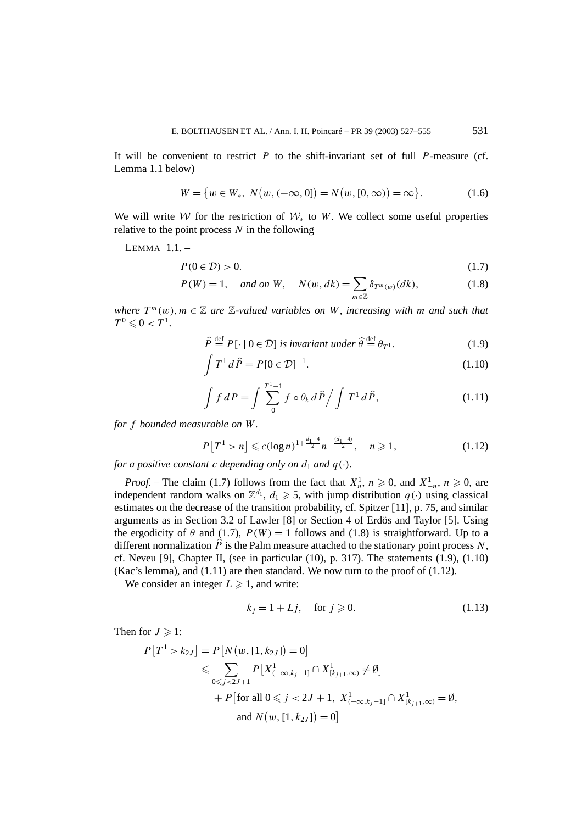It will be convenient to restrict *P* to the shift-invariant set of full *P*-measure (cf. Lemma 1.1 below)

$$
W = \{ w \in W_*, \ N(w, (-\infty, 0]) = N(w, [0, \infty)) = \infty \}.
$$
 (1.6)

We will write W for the restriction of  $W_*$  to W. We collect some useful properties relative to the point process *N* in the following

LEMMA 1.1. –

$$
P(0 \in \mathcal{D}) > 0. \tag{1.7}
$$

$$
P(W) = 1, \quad \text{and on } W, \quad N(w, dk) = \sum_{m \in \mathbb{Z}} \delta_{T^m(w)}(dk), \tag{1.8}
$$

*where*  $T^m(w)$ ,  $m \in \mathbb{Z}$  are  $\mathbb{Z}$ -valued variables on W, increasing with m and such that  $T^0 \leq 0 < T^1$ .

$$
\widehat{P} \stackrel{\text{def}}{=} P[\cdot \mid 0 \in \mathcal{D}] \text{ is invariant under } \widehat{\theta} \stackrel{\text{def}}{=} \theta_{T^1}. \tag{1.9}
$$

$$
\int T^1 d\hat{P} = P[0 \in \mathcal{D}]^{-1}.
$$
\n(1.10)

$$
\int f dP = \int \sum_{0}^{T-1} f \circ \theta_k d\widehat{P} / \int T^1 d\widehat{P}, \qquad (1.11)
$$

*for f bounded measurable on W.*

$$
P\left[T^1 > n\right] \leqslant c(\log n)^{1 + \frac{d_1 - 4}{2}} n^{-\frac{(d_1 - 4)}{2}}, \quad n \geqslant 1,\tag{1.12}
$$

*for a positive constant c depending only on*  $d_1$  *and*  $q(\cdot)$ *.* 

*Proof.* – The claim (1.7) follows from the fact that  $X_n^1$ ,  $n \ge 0$ , and  $X_{-n}^1$ ,  $n \ge 0$ , are independent random walks on  $\mathbb{Z}^{d_1}$ ,  $d_1 \geq 5$ , with jump distribution  $q(\cdot)$  using classical estimates on the decrease of the transition probability, cf. Spitzer [11], p. 75, and similar arguments as in Section 3.2 of Lawler [8] or Section 4 of Erdös and Taylor [5]. Using the ergodicity of  $\theta$  and (1.7),  $P(W) = 1$  follows and (1.8) is straightforward. Up to a different normalization  $\hat{P}$  is the Palm measure attached to the stationary point process  $N$ , cf. Neveu [9], Chapter II, (see in particular  $(10)$ , p. 317). The statements  $(1.9)$ ,  $(1.10)$ (Kac's lemma), and  $(1.11)$  are then standard. We now turn to the proof of  $(1.12)$ .

We consider an integer  $L \ge 1$ , and write:

$$
k_j = 1 + Lj, \quad \text{for } j \ge 0. \tag{1.13}
$$

Then for  $J \geqslant 1$ :

$$
P[T^1 > k_{2J}] = P[N(w, [1, k_{2J}]) = 0]
$$
  
\n
$$
\leqslant \sum_{0 \leqslant j < 2J+1} P[X^1_{(-\infty, k_j - 1]} \cap X^1_{(k_{j+1}, \infty)} \neq \emptyset]
$$
  
\n
$$
+ P[\text{for all } 0 \leqslant j < 2J+1, X^1_{(-\infty, k_j - 1]} \cap X^1_{(k_{j+1}, \infty)} = \emptyset,
$$
  
\nand  $N(w, [1, k_{2J}]) = 0]$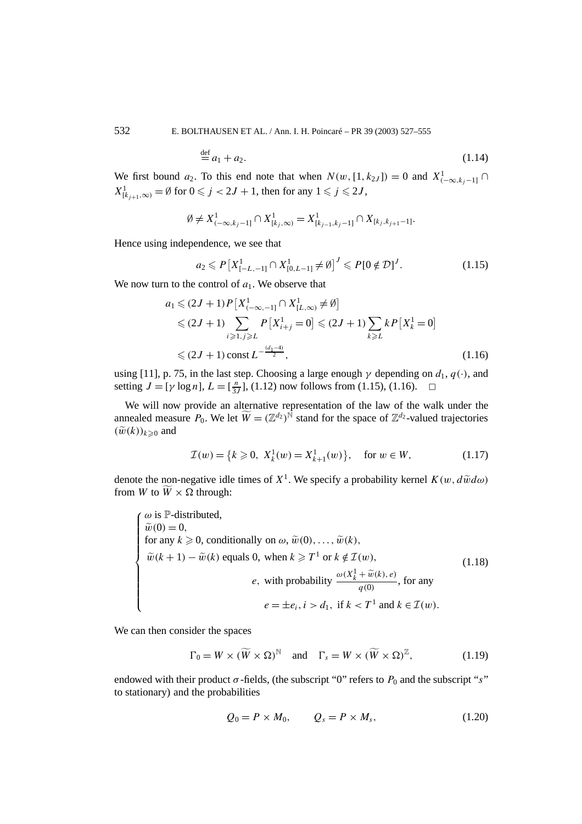532 E. BOLTHAUSEN ET AL. / Ann. I. H. Poincaré – PR 39 (2003) 527–555

$$
\stackrel{\text{def}}{=} a_1 + a_2. \tag{1.14}
$$

We first bound  $a_2$ . To this end note that when  $N(w, [1, k_2,]) = 0$  and  $X^1_{(-\infty, k_j-1]} \cap$  $X^1_{[k_{j+1},\infty)} = \emptyset$  for  $0 \le j < 2J + 1$ , then for any  $1 \le j \le 2J$ ,

$$
\emptyset \neq X^1_{(-\infty,k_j-1]} \cap X^1_{[k_j,\infty)} = X^1_{[k_{j-1},k_j-1]} \cap X_{[k_j,k_{j+1}-1]}.
$$

Hence using independence, we see that

$$
a_2 \leqslant P\left[X_{[-L,-1]}^1 \cap X_{[0,L-1]}^1 \neq \emptyset\right]^J \leqslant P[0 \notin \mathcal{D}]^J. \tag{1.15}
$$

We now turn to the control of  $a_1$ . We observe that

$$
a_1 \leq (2J+1) P[X^1_{(-\infty,-1]} \cap X^1_{[L,\infty)} \neq \emptyset]
$$
  
\n
$$
\leq (2J+1) \sum_{i \geq 1, j \geq L} P[X^1_{i+j} = 0] \leq (2J+1) \sum_{k \geq L} k P[X^1_k = 0]
$$
  
\n
$$
\leq (2J+1) \text{ const } L^{-\frac{(d_1-4)}{2}}, \qquad (1.16)
$$

using [11], p. 75, in the last step. Choosing a large enough  $\gamma$  depending on  $d_1$ ,  $q(\cdot)$ , and setting  $J = [\gamma \log n]$ ,  $L = [\frac{n}{3J}]$ , (1.12) now follows from (1.15), (1.16).  $\square$ 

We will now provide an alternative representation of the law of the walk under the annealed measure  $P_0$ . We let  $\widetilde{W} = (\mathbb{Z}^{d_2})^{\widetilde{N}}$  stand for the space of  $\mathbb{Z}^{d_2}$ -valued trajectories  $(\widetilde{w}(k))_{k\geqslant 0}$  and

$$
\mathcal{I}(w) = \{k \ge 0, \ X_k^1(w) = X_{k+1}^1(w)\}, \quad \text{for } w \in W,
$$
 (1.17)

denote the non-negative idle times of  $X^1$ . We specify a probability kernel  $K(w, d\tilde{w}d\omega)$ from *W* to  $\overline{W} \times \Omega$  through:

$$
\begin{cases}\n\omega \text{ is } \mathbb{P}\text{-distributed,} \\
\widetilde{w}(0) = 0, \\
\text{for any } k \ge 0, \text{ conditionally on } \omega, \widetilde{w}(0), \dots, \widetilde{w}(k), \\
\widetilde{w}(k+1) - \widetilde{w}(k) \text{ equals 0, when } k \ge T^1 \text{ or } k \notin \mathcal{I}(w), \\
e, \text{ with probability } \frac{\omega(X_k^1 + \widetilde{w}(k), e)}{q(0)}, \text{ for any} \\
e = \pm e_i, i > d_1, \text{ if } k < T^1 \text{ and } k \in \mathcal{I}(w).\n\end{cases} \tag{1.18}
$$

We can then consider the spaces

$$
\Gamma_0 = W \times (\widetilde{W} \times \Omega)^{\mathbb{N}} \quad \text{and} \quad \Gamma_s = W \times (\widetilde{W} \times \Omega)^{\mathbb{Z}}, \tag{1.19}
$$

endowed with their product  $\sigma$ -fields, (the subscript "0" refers to  $P_0$  and the subscript "*s*" to stationary) and the probabilities

$$
Q_0 = P \times M_0, \qquad Q_s = P \times M_s, \tag{1.20}
$$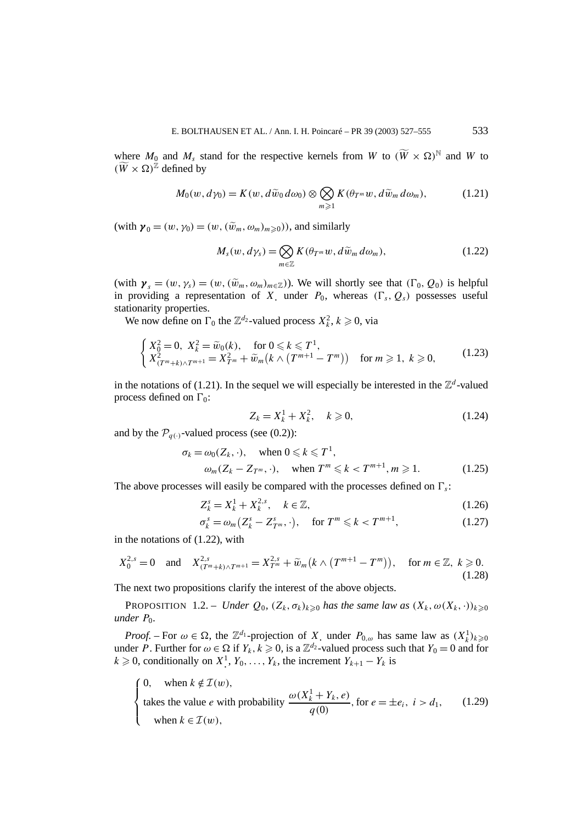where  $M_0$  and  $M_s$  stand for the respective kernels from W to  $(\widetilde{W} \times \Omega)^{\mathbb{N}}$  and W to  $(\widetilde{W} \times \Omega)$ <sup>Z</sup> defined by

$$
M_0(w, d\gamma_0) = K(w, d\tilde{w}_0 d\omega_0) \otimes \bigotimes_{m \geq 1} K(\theta_{T^m} w, d\tilde{w}_m d\omega_m), \tag{1.21}
$$

 $(\text{with } \mathbf{y}_0 = (w, \gamma_0) = (w, (\tilde{w}_m, \omega_m)_{m \geq 0}))$ , and similarly

$$
M_s(w, d\gamma_s) = \bigotimes_{m \in \mathbb{Z}} K(\theta_{T^m} w, d\widetilde{w}_m d\omega_m), \qquad (1.22)
$$

(with  $\gamma_s = (w, \gamma_s) = (w, (\tilde{w}_m, \omega_m)_{m \in \mathbb{Z}})$ ). We will shortly see that  $(\Gamma_0, Q_0)$  is helpful in providing a representation of *X*, under  $P_0$ , whereas  $(\Gamma_s, Q_s)$  possesses useful stationarity properties.

We now define on  $\Gamma_0$  the  $\mathbb{Z}^{d_2}$ -valued process  $X_k^2$ ,  $k \geq 0$ , via

$$
\begin{cases} X_0^2 = 0, \ X_k^2 = \tilde{w}_0(k), & \text{for } 0 \le k \le T^1, \\ X_{(T^m + k) \wedge T^{m+1}}^2 = X_{T^m}^2 + \tilde{w}_m(k \wedge (T^{m+1} - T^m)) & \text{for } m \ge 1, \ k \ge 0, \end{cases} \tag{1.23}
$$

in the notations of (1.21). In the sequel we will especially be interested in the  $\mathbb{Z}^d$ -valued process defined on  $\Gamma_0$ :

$$
Z_k = X_k^1 + X_k^2, \quad k \ge 0,
$$
\n(1.24)

and by the  $\mathcal{P}_{q(\cdot)}$ -valued process (see (0.2)):

$$
\sigma_k = \omega_0(Z_k, \cdot), \quad \text{when } 0 \le k \le T^1,
$$
  
\n
$$
\omega_m(Z_k - Z_{T^m}, \cdot), \quad \text{when } T^m \le k < T^{m+1}, m \ge 1. \tag{1.25}
$$

The above processes will easily be compared with the processes defined on  $\Gamma_s$ :

$$
Z_k^s = X_k^1 + X_k^{2,s}, \quad k \in \mathbb{Z}, \tag{1.26}
$$

$$
\sigma_k^s = \omega_m \left( Z_k^s - Z_{T^m}^s \cdot \cdot \right), \quad \text{for } T^m \leq k < T^{m+1}, \tag{1.27}
$$

in the notations of (1.22), with

$$
X_0^{2,s} = 0 \quad \text{and} \quad X_{(T^m+k)\wedge T^{m+1}}^{2,s} = X_{T^m}^{2,s} + \widetilde{w}_m(k \wedge (T^{m+1} - T^m)), \quad \text{for } m \in \mathbb{Z}, \ k \geq 0.
$$
\n(1.28)

The next two propositions clarify the interest of the above objects.

**PROPOSITION** 1.2. – *Under*  $Q_0$ ,  $(Z_k, \sigma_k)_{k \geq 0}$  *has the same law as*  $(X_k, \omega(X_k, \cdot))_{k \geq 0}$ *under*  $P_0$ *.* 

*Proof.* – For  $\omega \in \Omega$ , the  $\mathbb{Z}^{d_1}$ -projection of *X*, under  $P_{0,\omega}$  has same law as  $(X_k^1)_{k \geq 0}$ under *P*. Further for  $\omega \in \Omega$  if  $Y_k$ ,  $k \ge 0$ , is a  $\mathbb{Z}^{d_2}$ -valued process such that  $Y_0 = 0$  and for  $k \geq 0$ , conditionally on  $X^1$ ,  $Y_0, \ldots, Y_k$ , the increment  $Y_{k+1} - Y_k$  is

 $\sqrt{ }$  $\bigg)$  $\overline{\mathcal{L}}$ 0, when  $k \notin \mathcal{I}(w)$ , takes the value *e* with probability  $\frac{\omega(X_k^1 + Y_k, e)}{q(0)}$ , for  $e = \pm e_i$ ,  $i > d_1$ , when  $k \in \mathcal{I}(w)$ , (1.29)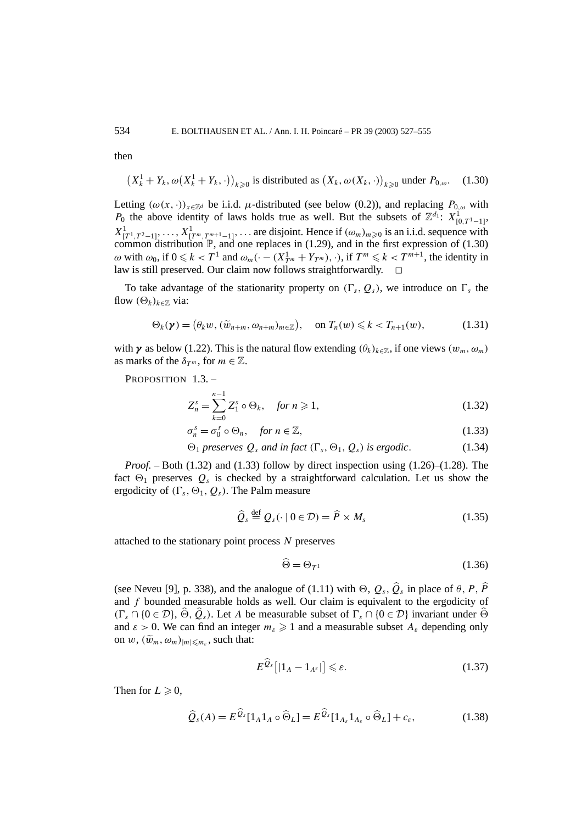then

$$
(X_k^1 + Y_k, \omega(X_k^1 + Y_k, \cdot))_{k \ge 0}
$$
 is distributed as  $(X_k, \omega(X_k, \cdot))_{k \ge 0}$  under  $P_{0,\omega}$ . (1.30)

Letting  $(\omega(x, \cdot))_{x \in \mathbb{Z}^d}$  be i.i.d.  $\mu$ -distributed (see below (0.2)), and replacing  $P_{0,\omega}$  with *P*<sup>0</sup> the above identity of laws holds true as well. But the subsets of  $\mathbb{Z}^{d_1}$ :  $X^1_{[0,T^1-1]}$ ,  $X^1_{[T^1, T^2-1]}, \ldots, X^1_{[T^m, T^{m+1}-1]}, \ldots$  are disjoint. Hence if  $(\omega_m)_{m\geqslant 0}$  is an i.i.d. sequence with common distribution  $\mathbb{P}$ , and one replaces in (1.29), and in the first expression of (1.30)  $\omega$  with  $\omega_0$ , if  $0 \le k < T^1$  and  $\omega_m(\cdot - (X_{T^m}^1 + Y_{T^m}), \cdot)$ , if  $T^m \le k < T^{m+1}$ , the identity in law is still preserved. Our claim now follows straightforwardly.  $\Box$ 

To take advantage of the stationarity property on  $(\Gamma_s, Q_s)$ , we introduce on  $\Gamma_s$  the flow  $(\Theta_k)_{k \in \mathbb{Z}}$  via:

$$
\Theta_k(\boldsymbol{\gamma}) = (\theta_k w, (\widetilde{w}_{n+m}, \omega_{n+m})_{m \in \mathbb{Z}}), \quad \text{on } T_n(w) \leq k < T_{n+1}(w), \tag{1.31}
$$

with *γ* as below (1.22). This is the natural flow extending  $(\theta_k)_{k \in \mathbb{Z}}$ , if one views  $(w_m, \omega_m)$ as marks of the  $\delta_{T^m}$ , for  $m \in \mathbb{Z}$ .

PROPOSITION 1.3. -

$$
Z_n^s = \sum_{k=0}^{n-1} Z_1^s \circ \Theta_k, \quad \text{for } n \geqslant 1,
$$
\n(1.32)

$$
\sigma_n^s = \sigma_0^s \circ \Theta_n, \quad \text{for } n \in \mathbb{Z}, \tag{1.33}
$$

$$
\Theta_1 \text{ preserves } Q_s \text{ and in fact } (\Gamma_s, \Theta_1, Q_s) \text{ is ergodic.} \tag{1.34}
$$

*Proof.* – Both (1.32) and (1.33) follow by direct inspection using (1.26)–(1.28). The fact  $\Theta_1$  preserves  $Q_s$  is checked by a straightforward calculation. Let us show the ergodicity of  $(\Gamma_s, \Theta_1, Q_s)$ . The Palm measure

$$
\widehat{Q}_s \stackrel{\text{def}}{=} Q_s(\cdot \mid 0 \in \mathcal{D}) = \widehat{P} \times M_s \tag{1.35}
$$

attached to the stationary point process *N* preserves

$$
\widehat{\Theta} = \Theta_{T^1} \tag{1.36}
$$

(see Neveu [9], p. 338), and the analogue of (1.11) with  $\Theta$ ,  $Q_s$ ,  $\hat{Q}_s$  in place of  $\theta$ ,  $P$ ,  $\hat{P}$ and *f* bounded measurable holds as well. Our claim is equivalent to the ergodicity of  $(\Gamma_s \cap \{0 \in \mathcal{D}\}, \widehat{\Theta}, \widehat{Q}_s)$ . Let *A* be measurable subset of  $\Gamma_s \cap \{0 \in \mathcal{D}\}\$  invariant under  $\widehat{\Theta}$ and  $\varepsilon > 0$ . We can find an integer  $m_{\varepsilon} \geq 1$  and a measurable subset  $A_{\varepsilon}$  depending only on  $w$ ,  $(\widetilde{w}_m, \omega_m)_{|m| \le m_s}$ , such that:

$$
E^{\mathcal{Q}_s}[|1_A - 1_{A^s}|] \leqslant \varepsilon. \tag{1.37}
$$

Then for  $L \geq 0$ ,

$$
\widehat{Q}_s(A) = E^{\widehat{Q}_s}[1_A 1_A \circ \widehat{\Theta}_L] = E^{\widehat{Q}_s}[1_{A_s} 1_{A_s} \circ \widehat{\Theta}_L] + c_s, \qquad (1.38)
$$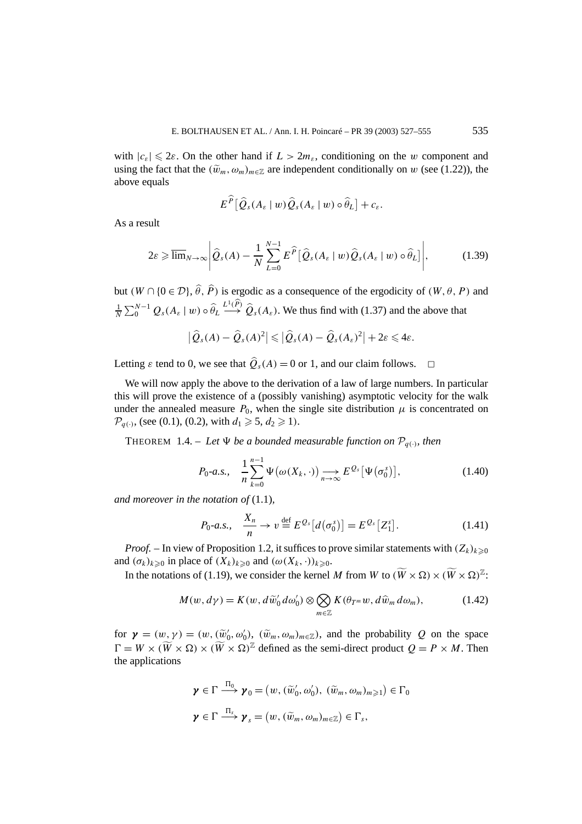with  $|c_{\varepsilon}| \leq 2\varepsilon$ . On the other hand if  $L > 2m_{\varepsilon}$ , conditioning on the *w* component and using the fact that the  $(\tilde{w}_m, \omega_m)_{m \in \mathbb{Z}}$  are independent conditionally on *w* (see (1.22)), the above equals

$$
E^{\widehat{P}}[\widehat{Q}_s(A_{\varepsilon}\mid w)\widehat{Q}_s(A_{\varepsilon}\mid w)\circ \widehat{\theta}_L]+c_{\varepsilon}.
$$

As a result

$$
2\varepsilon \geqslant \overline{\lim}_{N \to \infty} \left| \widehat{Q}_s(A) - \frac{1}{N} \sum_{L=0}^{N-1} E^{\widehat{P}} \big[ \widehat{Q}_s(A_\varepsilon \mid w) \widehat{Q}_s(A_\varepsilon \mid w) \circ \widehat{\theta}_L \big] \right|, \tag{1.39}
$$

but  $(W \cap \{0 \in \mathcal{D}\}, \hat{\theta}, \hat{P})$  is ergodic as a consequence of the ergodicity of  $(W, \theta, P)$  and 1  $\frac{1}{N}\sum_{0}^{N-1} Q_s(A_\varepsilon \mid w) \circ \hat{\theta}_L \stackrel{L^1(\hat{P})}{\longrightarrow} \hat{Q}_s(A_\varepsilon)$ . We thus find with (1.37) and the above that

$$
\left|\widehat{Q}_s(A)-\widehat{Q}_s(A)^2\right|\leqslant \left|\widehat{Q}_s(A)-\widehat{Q}_s(A_s)^2\right|+2\varepsilon\leqslant 4\varepsilon.
$$

Letting  $\varepsilon$  tend to 0, we see that  $\hat{Q}_s(A) = 0$  or 1, and our claim follows.  $\Box$ 

We will now apply the above to the derivation of a law of large numbers. In particular this will prove the existence of a (possibly vanishing) asymptotic velocity for the walk under the annealed measure  $P_0$ , when the single site distribution  $\mu$  is concentrated on  $\mathcal{P}_{a(\cdot)}$ , (see (0.1), (0.2), with  $d_1 \geq 5$ ,  $d_2 \geq 1$ ).

THEOREM 1.4. – Let  $\Psi$  be a bounded measurable function on  $\mathcal{P}_{q(\cdot)}$ , then

$$
P_0-a.s., \quad \frac{1}{n}\sum_{k=0}^{n-1}\Psi\big(\omega(X_k,\cdot)\big) \underset{n\to\infty}{\longrightarrow} E^{\mathcal{Q}_s}\big[\Psi\big(\sigma_0^s\big)\big],\tag{1.40}
$$

*and moreover in the notation of* (1.1)*,*

$$
P_0-a.s., \quad \frac{X_n}{n} \to v \stackrel{\text{def}}{=} E^{Q_s}[d(\sigma_0^s)] = E^{Q_s}[Z_1^s]. \tag{1.41}
$$

*Proof.* – In view of Proposition 1.2, it suffices to prove similar statements with  $(Z_k)_{k \geqslant 0}$ and  $(\sigma_k)_{k \geq 0}$  in place of  $(X_k)_{k \geq 0}$  and  $(\omega(X_k, \cdot))_{k \geq 0}$ .

In the notations of (1.19), we consider the kernel *M* from *W* to  $(\widetilde{W} \times \Omega) \times (\widetilde{W} \times \Omega)^{\mathbb{Z}}$ :

$$
M(w, d\gamma) = K(w, d\widetilde{w}_0' d\omega_0') \otimes \bigotimes_{m \in \mathbb{Z}} K(\theta_{T^m} w, d\widehat{w}_m d\omega_m), \tag{1.42}
$$

for  $\gamma = (w, \gamma) = (w, (\tilde{w}'_0, \omega'_0), (\tilde{w}_m, \omega_m)_{m \in \mathbb{Z}})$ , and the probability *Q* on the space  $\Gamma = W \times (\widetilde{W} \times \Omega) \times (\widetilde{W} \times \Omega)^{\mathbb{Z}}$  defined as the semi-direct product  $Q = P \times M$ . Then the applications

$$
\boldsymbol{\gamma} \in \Gamma \xrightarrow{\Pi_0} \boldsymbol{\gamma}_0 = (w, (\widetilde{w}'_0, \omega'_0), (\widetilde{w}_m, \omega_m)_{m \ge 1}) \in \Gamma_0
$$
  

$$
\boldsymbol{\gamma} \in \Gamma \xrightarrow{\Pi_s} \boldsymbol{\gamma}_s = (w, (\widetilde{w}_m, \omega_m)_{m \in \mathbb{Z}}) \in \Gamma_s,
$$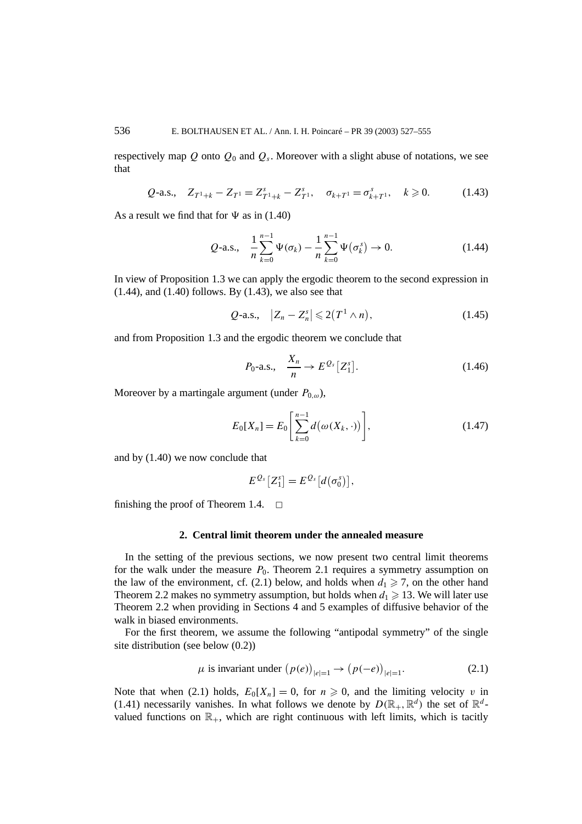respectively map  $Q$  onto  $Q_0$  and  $Q_s$ . Moreover with a slight abuse of notations, we see that

$$
Q\text{-a.s., } Z_{T^1+k} - Z_{T^1} = Z_{T^1+k}^s - Z_{T^1}^s, \quad \sigma_{k+T^1} = \sigma_{k+T^1}^s, \quad k \geq 0. \tag{1.43}
$$

As a result we find that for  $\Psi$  as in (1.40)

$$
Q\text{-a.s., } \frac{1}{n} \sum_{k=0}^{n-1} \Psi(\sigma_k) - \frac{1}{n} \sum_{k=0}^{n-1} \Psi(\sigma_k^s) \to 0. \tag{1.44}
$$

In view of Proposition 1.3 we can apply the ergodic theorem to the second expression in  $(1.44)$ , and  $(1.40)$  follows. By  $(1.43)$ , we also see that

$$
Q\text{-a.s., }\ |Z_n - Z_n^s| \leq 2(T^1 \wedge n), \tag{1.45}
$$

and from Proposition 1.3 and the ergodic theorem we conclude that

$$
P_0 \text{-a.s., } \quad \frac{X_n}{n} \to E^{\mathcal{Q}_s}[Z_1^s]. \tag{1.46}
$$

Moreover by a martingale argument (under  $P_{0,\omega}$ ),

$$
E_0[X_n] = E_0 \left[ \sum_{k=0}^{n-1} d(\omega(X_k, \cdot)) \right],
$$
 (1.47)

and by (1.40) we now conclude that

$$
E^{\mathcal{Q}_s}[Z_1^s] = E^{\mathcal{Q}_s}[d(\sigma_0^s)],
$$

finishing the proof of Theorem 1.4.  $\Box$ 

#### **2. Central limit theorem under the annealed measure**

In the setting of the previous sections, we now present two central limit theorems for the walk under the measure  $P_0$ . Theorem 2.1 requires a symmetry assumption on the law of the environment, cf. (2.1) below, and holds when  $d_1 \geq 7$ , on the other hand Theorem 2.2 makes no symmetry assumption, but holds when  $d_1 \geq 13$ . We will later use Theorem 2.2 when providing in Sections 4 and 5 examples of diffusive behavior of the walk in biased environments.

For the first theorem, we assume the following "antipodal symmetry" of the single site distribution (see below (0.2))

$$
\mu \text{ is invariant under } (p(e))_{|e|=1} \to (p(-e))_{|e|=1}. \tag{2.1}
$$

Note that when (2.1) holds,  $E_0[X_n] = 0$ , for  $n \ge 0$ , and the limiting velocity *v* in (1.41) necessarily vanishes. In what follows we denote by  $D(\mathbb{R}_+,\mathbb{R}^d)$  the set of  $\mathbb{R}^d$ valued functions on  $\mathbb{R}_+$ , which are right continuous with left limits, which is tacitly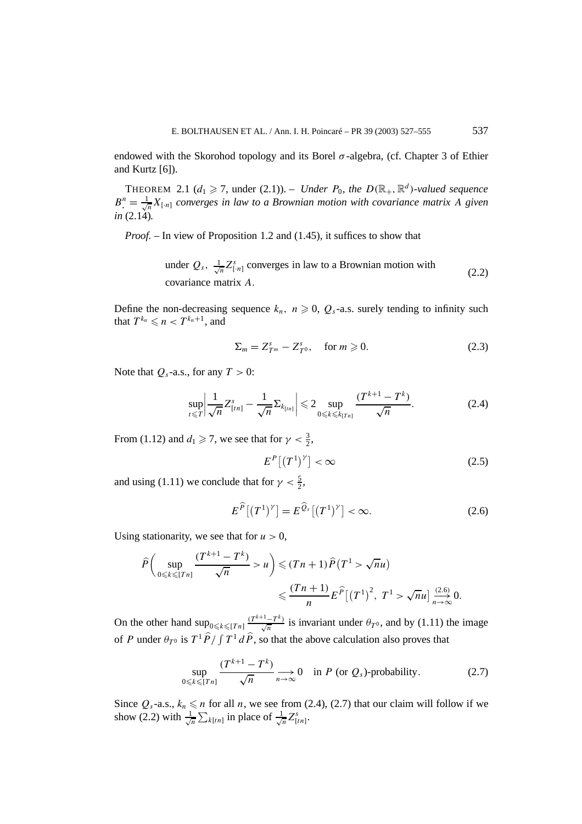endowed with the Skorohod topology and its Borel  $\sigma$ -algebra, (cf. Chapter 3 of Ethier and Kurtz [6]).

THEOREM 2.1 ( $d_1 \ge 7$ , under (2.1)). – *Under*  $P_0$ , the  $D(\mathbb{R}_+, \mathbb{R}^d)$ -valued sequence  $B^n = \frac{1}{\sqrt{n}} X_{[n]}$  *converges in law to a Brownian motion with covariance matrix A given in* (2.14)*.*

*Proof. –* In view of Proposition 1.2 and (1.45), it suffices to show that

under 
$$
Q_s
$$
,  $\frac{1}{\sqrt{n}} Z_{[n]}^s$  converges in law to a Brownian motion with  
covariance matrix A. (2.2)

Define the non-decreasing sequence  $k_n$ ,  $n \geq 0$ ,  $Q_s$ -a.s. surely tending to infinity such that  $T^{k_n} \leqslant n < T^{k_n+1}$ , and

$$
\Sigma_m = Z_{T^m}^s - Z_{T^0}^s, \quad \text{for } m \geqslant 0. \tag{2.3}
$$

Note that  $Q_s$ -a.s., for any  $T > 0$ :

$$
\sup_{t \leq T} \left| \frac{1}{\sqrt{n}} Z^{s}_{[tn]} - \frac{1}{\sqrt{n}} \Sigma_{k_{[tn]}} \right| \leq 2 \sup_{0 \leq k \leq k_{[Tn]}} \frac{(T^{k+1} - T^k)}{\sqrt{n}}.
$$
 (2.4)

From (1.12) and  $d_1 \ge 7$ , we see that for  $\gamma < \frac{3}{2}$ ,

$$
E^{P}\left[\left(T^{1}\right)^{\gamma}\right]<\infty\tag{2.5}
$$

and using (1.11) we conclude that for  $\gamma < \frac{5}{2}$ ,

$$
E^{\widehat{P}}[(T^1)^{\gamma}] = E^{\widehat{Q}_s}[(T^1)^{\gamma}] < \infty.
$$
 (2.6)

Using stationarity, we see that for  $u > 0$ ,

$$
\widehat{P}\left(\sup_{0\leq k\leq [Tn]} \frac{(T^{k+1}-T^k)}{\sqrt{n}} > u\right) \leq (Tn+1)\widehat{P}(T^1 > \sqrt{n}u)
$$

$$
\leq \frac{(Tn+1)}{n}E^{\widehat{P}}[(T^1)^2, T^1 > \sqrt{n}u] \xrightarrow[n \to \infty]{(2.6)} 0.
$$

On the other hand  $\sup_{0 \le k \le [T_n]} \frac{(T^{k+1}-T^k)}{\sqrt{n}}$  is invariant under  $\theta_T$ <sup>0</sup>, and by (1.11) the image of *P* under  $\theta_{T^0}$  is  $T^1 \hat{P} / \int T^1 d\hat{P}$ , so that the above calculation also proves that

$$
\sup_{0 \le k \le [Tn]} \frac{(T^{k+1} - T^k)}{\sqrt{n}} \underset{n \to \infty}{\longrightarrow} 0 \quad \text{in } P \text{ (or } Q_s\text{-probability.}
$$
 (2.7)

Since  $Q_s$ -a.s.,  $k_n \le n$  for all *n*, we see from (2.4), (2.7) that our claim will follow if we show (2.2) with  $\frac{1}{4}$  $\frac{1}{n} \sum_{k[tn]} \text{in place of } \frac{1}{\sqrt{n}} Z_{[tn]}^s$ .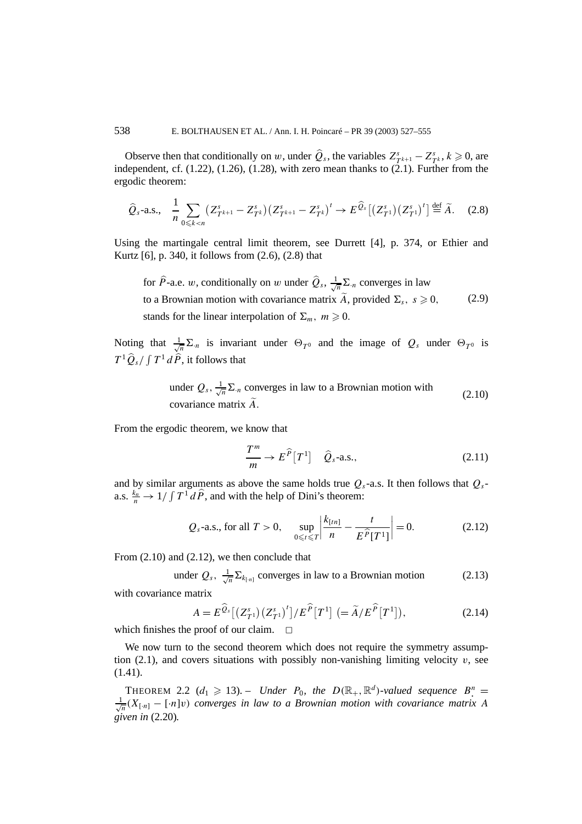Observe then that conditionally on *w*, under  $\hat{Q}_s$ , the variables  $Z_{T^{k+1}}^s - Z_{T^k}^s$ ,  $k \ge 0$ , are independent, cf.  $(1.22)$ ,  $(1.26)$ ,  $(1.28)$ , with zero mean thanks to  $(2.1)$ . Further from the ergodic theorem:

$$
\hat{Q}_s\text{-a.s., }\frac{1}{n}\sum_{0\leq k
$$

Using the martingale central limit theorem, see Durrett [4], p. 374, or Ethier and Kurtz [6], p. 340, it follows from (2.6), (2.8) that

for  $\hat{P}$ -a.e. *w*, conditionally on *w* under  $\hat{Q}_s$ ,  $\frac{1}{\sqrt{n}}\Sigma_n$  converges in law to a Brownian motion with covariance matrix  $\tilde{A}$ , provided  $\Sigma_s$ ,  $s \geq 0$ , stands for the linear interpolation of  $\Sigma_m$ ,  $m \ge 0$ . (2.9)

Noting that  $\frac{1}{\sqrt{n}}\sum_{n=1}^{\infty}$  is invariant under  $\Theta_{T^0}$  and the image of  $Q_s$  under  $\Theta_{T^0}$  is  $T^1 \widehat{Q}_s / \int T^1 d\widehat{P}$ , it follows that

under 
$$
Q_s
$$
,  $\frac{1}{\sqrt{n}} \Sigma_n$  converges in law to a Brownian motion with  
covariance matrix  $\tilde{A}$ . (2.10)

From the ergodic theorem, we know that

$$
\frac{T^m}{m} \to E^{\widehat{P}}[T^1] \quad \widehat{Q}_s\text{-a.s.,}
$$
\n(2.11)

and by similar arguments as above the same holds true  $Q_s$ -a.s. It then follows that  $Q_s$ a.s.  $\frac{k_n}{n} \to 1/\int T^1 d\hat{P}$ , and with the help of Dini's theorem:

$$
Q_s
$$
-a.s., for all  $T > 0$ ,  $\sup_{0 \le t \le T} \left| \frac{k_{[tn]}}{n} - \frac{t}{E^{\hat{P}}[T^1]} \right| = 0.$  (2.12)

From (2.10) and (2.12), we then conclude that

under 
$$
Q_s
$$
,  $\frac{1}{\sqrt{n}} \sum_{k_{[n]}}$  converges in law to a Brownian motion (2.13)

with covariance matrix

$$
A = E^{\widehat{Q}_s}[(Z_{T^1}^s)(Z_{T^1}^s)^t]/E^{\widehat{P}}[T^1] (= \widetilde{A}/E^{\widehat{P}}[T^1]),
$$
\n(2.14)

which finishes the proof of our claim.  $\Box$ 

We now turn to the second theorem which does not require the symmetry assumption  $(2.1)$ , and covers situations with possibly non-vanishing limiting velocity  $v$ , see (1.41).

THEOREM 2.2 ( $d_1 \geq 13$ ). – *Under*  $P_0$ , the  $D(\mathbb{R}_+, \mathbb{R}^d)$ -valued sequence  $B^n$ .  $\frac{1}{\sqrt{n}}(X_{[n]} - [\cdot n]v)$  *converges in law to a Brownian motion with covariance matrix A given in* (2.20)*.*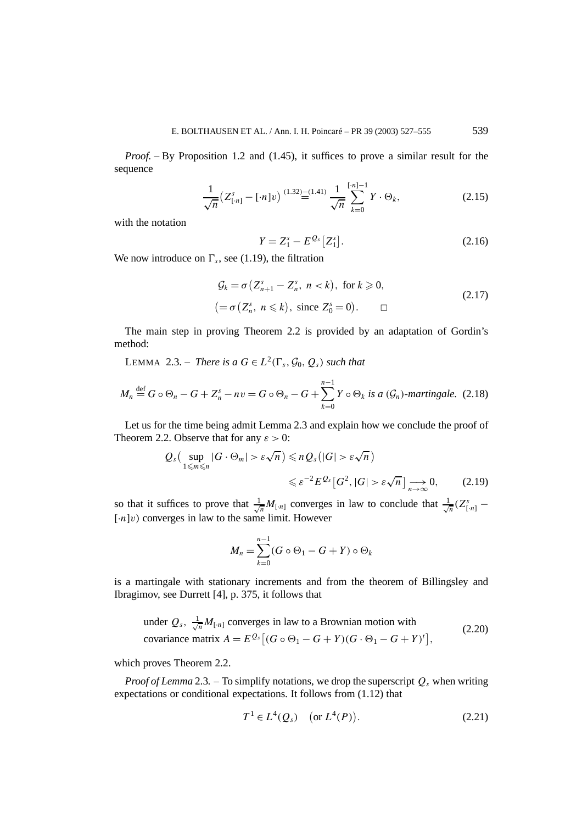*Proof. –* By Proposition 1.2 and (1.45), it suffices to prove a similar result for the sequence

$$
\frac{1}{\sqrt{n}} \left( Z_{\lfloor n \rfloor}^s - \lfloor n \rfloor v \right) \stackrel{(1.32)}{=} \frac{(-1.41)}{\sqrt{n}} \sum_{k=0}^{\lfloor n \rfloor - 1} Y \cdot \Theta_k,\tag{2.15}
$$

with the notation

$$
Y = Z_1^s - E^{Q_s} [Z_1^s].
$$
\n(2.16)

We now introduce on  $\Gamma_s$ , see (1.19), the filtration

$$
\mathcal{G}_k = \sigma \left( Z_{n+1}^s - Z_n^s, \ n < k \right), \text{ for } k \geqslant 0,
$$
\n
$$
(2.17)
$$
\n
$$
= \sigma \left( Z_n^s, \ n \leqslant k \right), \text{ since } Z_0^s = 0. \qquad \Box
$$

The main step in proving Theorem 2.2 is provided by an adaptation of Gordin's method:

LEMMA 2.3. – *There is a*  $G \in L^2(\Gamma_s, \mathcal{G}_0, Q_s)$  *such that* 

$$
M_n \stackrel{\text{def}}{=} G \circ \Theta_n - G + Z_n^s - nv = G \circ \Theta_n - G + \sum_{k=0}^{n-1} Y \circ \Theta_k \text{ is a } (\mathcal{G}_n)\text{-martingale. (2.18)}
$$

Let us for the time being admit Lemma 2.3 and explain how we conclude the proof of Theorem 2.2. Observe that for any  $\varepsilon > 0$ :

$$
Q_{s} \left( \sup_{1 \leq m \leq n} |G \cdot \Theta_{m}| > \varepsilon \sqrt{n} \right) \leq n Q_{s} \left( |G| > \varepsilon \sqrt{n} \right)
$$
  

$$
\leq \varepsilon^{-2} E^{Q_{s}} \left[ G^{2}, |G| > \varepsilon \sqrt{n} \right] \longrightarrow 0, \qquad (2.19)
$$

so that it suffices to prove that  $\frac{1}{\sqrt{n}}M_{[n]}$  converges in law to conclude that  $\frac{1}{\sqrt{n}}(Z_{[n]}^s \lceil \cdot n \rceil v$  converges in law to the same limit. However

$$
M_n = \sum_{k=0}^{n-1} (G \circ \Theta_1 - G + Y) \circ \Theta_k
$$

is a martingale with stationary increments and from the theorem of Billingsley and Ibragimov, see Durrett [4], p. 375, it follows that

under 
$$
Q_s
$$
,  $\frac{1}{\sqrt{n}} M_{[n]}$  converges in law to a Brownian motion with  
covariance matrix  $A = E^{Q_s} [(G \circ \Theta_1 - G + Y)(G \cdot \Theta_1 - G + Y)^t]$ , (2.20)

which proves Theorem 2.2.

*Proof of Lemma* 2.3. – To simplify notations, we drop the superscript  $Q_s$  when writing expectations or conditional expectations. It follows from (1.12) that

$$
T^1 \in L^4(Q_s) \quad \text{(or } L^4(P)). \tag{2.21}
$$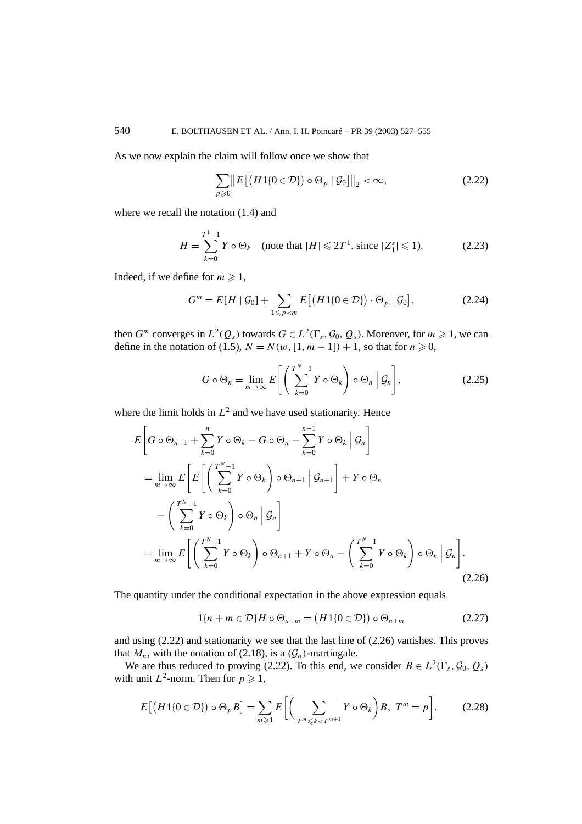As we now explain the claim will follow once we show that

$$
\sum_{p\geqslant 0} \left\| E\left[ \left( H1\{0 \in \mathcal{D}\} \right) \circ \Theta_p \mid \mathcal{G}_0 \right] \right\|_2 < \infty,\tag{2.22}
$$

where we recall the notation (1.4) and

$$
H = \sum_{k=0}^{T^1 - 1} Y \circ \Theta_k \quad \text{(note that } |H| \leq 2T^1 \text{, since } |Z_1^s| \leq 1\text{).} \tag{2.23}
$$

Indeed, if we define for  $m \ge 1$ ,

$$
G^{m} = E[H \mid \mathcal{G}_0] + \sum_{1 \leq p < m} E\left[\left(H1\{0 \in \mathcal{D}\}\right) \cdot \Theta_p \mid \mathcal{G}_0\right],\tag{2.24}
$$

then *G<sup>m</sup>* converges in  $L^2(Q_s)$  towards  $G \in L^2(\Gamma_s, \mathcal{G}_0, Q_s)$ . Moreover, for  $m \ge 1$ , we can define in the notation of (1.5), *N* = *N*(*w*, [1, *m* − 1]) + 1, so that for *n* ≥ 0,

$$
G \circ \Theta_n = \lim_{m \to \infty} E\left[ \left( \sum_{k=0}^{N-1} Y \circ \Theta_k \right) \circ \Theta_n \middle| \mathcal{G}_n \right], \tag{2.25}
$$

where the limit holds in  $L^2$  and we have used stationarity. Hence

$$
E\left[G\circ\Theta_{n+1} + \sum_{k=0}^{n} Y\circ\Theta_{k} - G\circ\Theta_{n} - \sum_{k=0}^{n-1} Y\circ\Theta_{k} \middle| \mathcal{G}_{n}\right]
$$
  
\n
$$
= \lim_{m\to\infty} E\left[E\left[\left(\sum_{k=0}^{T^{N}-1} Y\circ\Theta_{k}\right)\circ\Theta_{n+1} \middle| \mathcal{G}_{n+1}\right] + Y\circ\Theta_{n}\right]
$$
  
\n
$$
- \left(\sum_{k=0}^{T^{N}-1} Y\circ\Theta_{k}\right)\circ\Theta_{n} \middle| \mathcal{G}_{n}\right]
$$
  
\n
$$
= \lim_{m\to\infty} E\left[\left(\sum_{k=0}^{T^{N}-1} Y\circ\Theta_{k}\right)\circ\Theta_{n+1} + Y\circ\Theta_{n} - \left(\sum_{k=0}^{T^{N}-1} Y\circ\Theta_{k}\right)\circ\Theta_{n} \middle| \mathcal{G}_{n}\right].
$$
\n(2.26)

The quantity under the conditional expectation in the above expression equals

$$
1\{n+m\in\mathcal{D}\}H\circ\Theta_{n+m}=\big(H1\{0\in\mathcal{D}\}\big)\circ\Theta_{n+m}\tag{2.27}
$$

and using (2.22) and stationarity we see that the last line of (2.26) vanishes. This proves that  $M_n$ , with the notation of (2.18), is a  $(\mathcal{G}_n)$ -martingale.

We are thus reduced to proving (2.22). To this end, we consider  $B \in L^2(\Gamma_s, \mathcal{G}_0, O_s)$ with unit  $L^2$ -norm. Then for  $p \ge 1$ ,

$$
E\left[\left(H1\{0\in\mathcal{D}\}\right)\circ\Theta_pB\right] = \sum_{m\geqslant 1} E\left[\left(\sum_{T^m\leqslant k
$$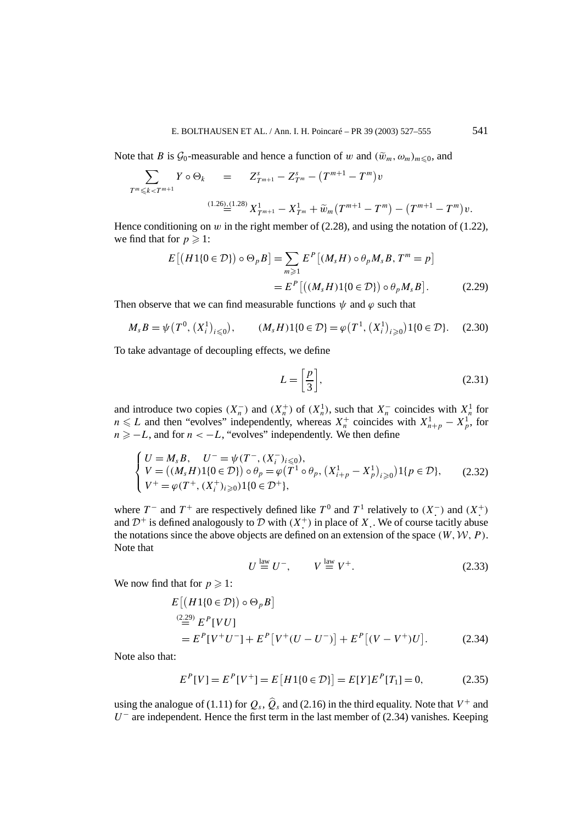Note that *B* is  $\mathcal{G}_0$ -measurable and hence a function of *w* and  $(\tilde{w}_m, \omega_m)_{m \leq 0}$ , and

$$
\sum_{T^m \leq k < T^{m+1}} Y \circ \Theta_k = Z_{T^{m+1}}^s - Z_{T^m}^s - (T^{m+1} - T^m) v
$$
\n
$$
\stackrel{(1.26),(1.28)}{=} X_{T^{m+1}}^1 - X_{T^m}^1 + \widetilde{w}_m (T^{m+1} - T^m) - (T^{m+1} - T^m) v.
$$

Hence conditioning on *w* in the right member of  $(2.28)$ , and using the notation of  $(1.22)$ , we find that for  $p \ge 1$ :

$$
E\left[\left(H1\{0\in\mathcal{D}\}\right)\circ\Theta_{p}B\right] = \sum_{m\geqslant 1} E^{P}\left[\left(M_{s}H\right)\circ\theta_{p}M_{s}B, T^{m}=p\right]
$$

$$
= E^{P}\left[\left(\left(M_{s}H\right)1\{0\in\mathcal{D}\}\right)\circ\theta_{p}M_{s}B\right].
$$
 (2.29)

Then observe that we can find measurable functions  $\psi$  and  $\varphi$  such that

$$
M_{s}B = \psi(T^{0}, (X_{i}^{1})_{i \leq 0}), \qquad (M_{s}H)1\{0 \in \mathcal{D}\} = \varphi(T^{1}, (X_{i}^{1})_{i \geq 0})1\{0 \in \mathcal{D}\}. \tag{2.30}
$$

To take advantage of decoupling effects, we define

$$
L = \left[\frac{p}{3}\right],\tag{2.31}
$$

and introduce two copies  $(X_n^-)$  and  $(X_n^+)$  of  $(X_n^1)$ , such that  $X_n^-$  coincides with  $X_n^1$  for  $n \le L$  and then "evolves" independently, whereas  $X_n^+$  coincides with  $X_{n+p}^1 - X_p^1$ , for  $n \ge -L$ , and for  $n < -L$ , "evolves" independently. We then define

$$
\begin{cases}\nU = M_s B, & U^- = \psi(T^-, (X_i^-)_{i \leq 0}), \\
V = ((M_s H) 1 \{0 \in \mathcal{D}\}) \circ \theta_p = \varphi(T^1 \circ \theta_p, (X_{i+p}^1 - X_p^1)_{i \geq 0}) 1 \{p \in \mathcal{D}\}, \\
V^+ = \varphi(T^+, (X_i^+)_{i \geq 0}) 1 \{0 \in \mathcal{D}^+\},\n\end{cases} (2.32)
$$

where  $T^-$  and  $T^+$  are respectively defined like  $T^0$  and  $T^1$  relatively to  $(X^-)$  and  $(X^+)$ and  $\mathcal{D}^+$  is defined analogously to  $\mathcal D$  with  $(X^+)$  in place of X. We of course tacitly abuse the notations since the above objects are defined on an extension of the space  $(W, W, P)$ . Note that

$$
U \stackrel{\text{law}}{=} U^-, \qquad V \stackrel{\text{law}}{=} V^+.
$$
 (2.33)

We now find that for  $p \ge 1$ :

$$
E[(H1{0 \in D}) \circ \Theta_p B]
$$
  
\n
$$
\stackrel{(2.29)}{=} E^P[VU]
$$
  
\n
$$
= E^P[V^+U^-] + E^P[V^+(U-U^-)] + E^P[(V-V^+)U].
$$
\n(2.34)

Note also that:

$$
E^{P}[V] = E^{P}[V^{+}] = E[H1\{0 \in \mathcal{D}\}] = E[Y]E^{P}[T_{1}] = 0,
$$
\n(2.35)

using the analogue of (1.11) for  $Q_s$ ,  $\hat{Q}_s$  and (2.16) in the third equality. Note that  $V^+$  and  $U^-$  are independent. Hence the first term in the last member of (2.34) vanishes. Keeping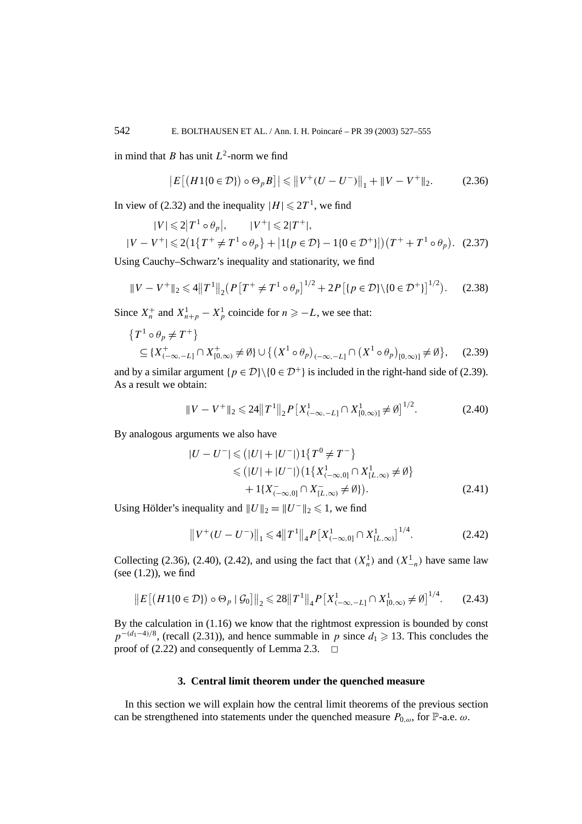in mind that *B* has unit  $L^2$ -norm we find

$$
|E[(H1\{0 \in \mathcal{D}\}) \circ \Theta_p B]| \leq ||V^+(U - U^-)||_1 + ||V - V^+||_2. \tag{2.36}
$$

In view of (2.32) and the inequality  $|H| \le 2T^1$ , we find

$$
|V| \leq 2|T^1 \circ \theta_p|, \qquad |V^+| \leq 2|T^+|,
$$
  

$$
|V - V^+| \leq 2\left(1\{T^+ \neq T^1 \circ \theta_p\} + |1\{p \in \mathcal{D}\} - 1\{0 \in \mathcal{D}^+\}\right|\right)\left(T^+ + T^1 \circ \theta_p\right). \tag{2.37}
$$

Using Cauchy–Schwarz's inequality and stationarity, we find

$$
||V - V^{+}||_{2} \le 4||T^{1}||_{2}(P[T^{+} \neq T^{1} \circ \theta_{p}]^{1/2} + 2P[(p \in \mathcal{D}\setminus\{0 \in \mathcal{D}^{+}\}]^{1/2}). \tag{2.38}
$$

Since  $X_n^+$  and  $X_{n+p}^1 - X_p^1$  coincide for  $n \ge -L$ , we see that:

$$
\{T^{1} \circ \theta_{p} \neq T^{+}\}\subseteq \{X^{+}_{(-\infty, -L]} \cap X^{+}_{[0,\infty)} \neq \emptyset\} \cup \{(X^{1} \circ \theta_{p})_{(-\infty, -L]} \cap (X^{1} \circ \theta_{p})_{[0,\infty)} \neq \emptyset\}, \quad (2.39)
$$

and by a similar argument  $\{p \in \mathcal{D}\} \setminus \{0 \in \mathcal{D}^+\}\$ is included in the right-hand side of (2.39). As a result we obtain:

$$
||V - V^{+}||_{2} \le 24||T^{1}||_{2}P[X^{1}_{(-\infty, -L]} \cap X^{1}_{[0,\infty)]} \neq \emptyset]^{1/2}.
$$
 (2.40)

By analogous arguments we also have

$$
|U - U^{-}| \leq (|U| + |U^{-}|) 1\{T^{0} \neq T^{-}\}\
$$
  
\n
$$
\leq (|U| + |U^{-}|) (1\{X_{(-\infty,0]}^{1} \cap X_{[L,\infty)}^{1} \neq \emptyset\}\
$$
  
\n
$$
+ 1\{X_{(-\infty,0]}^{-} \cap X_{[L,\infty)}^{-} \neq \emptyset\}).
$$
\n(2.41)

Using Hölder's inequality and  $||U||_2 = ||U^-||_2 \le 1$ , we find

$$
||V^+(U - U^-)||_1 \le 4||T^1||_4 P[X^1_{(-\infty,0]} \cap X^1_{(L,\infty)}]^{1/4}.
$$
 (2.42)

Collecting (2.36), (2.40), (2.42), and using the fact that  $(X_n^1)$  and  $(X_{-n}^1)$  have same law (see  $(1.2)$ ), we find

$$
\|E\left[\left(H1\{0\in\mathcal{D}\}\right)\circ\Theta_p\mid\mathcal{G}_0\right]\|_2\leqslant 28\|T^1\|_4P\left[X^1_{(-\infty,-L]}\cap X^1_{[0,\infty)}\neq\emptyset\right]^{1/4}.\tag{2.43}
$$

By the calculation in (1.16) we know that the rightmost expression is bounded by const  $p^{-(d_1-4)/8}$ , (recall (2.31)), and hence summable in *p* since  $d_1 \ge 13$ . This concludes the proof of  $(2.22)$  and consequently of Lemma 2.3.

#### **3. Central limit theorem under the quenched measure**

In this section we will explain how the central limit theorems of the previous section can be strengthened into statements under the quenched measure  $P_{0,\omega}$ , for  $\mathbb{P}$ -a.e.  $\omega$ .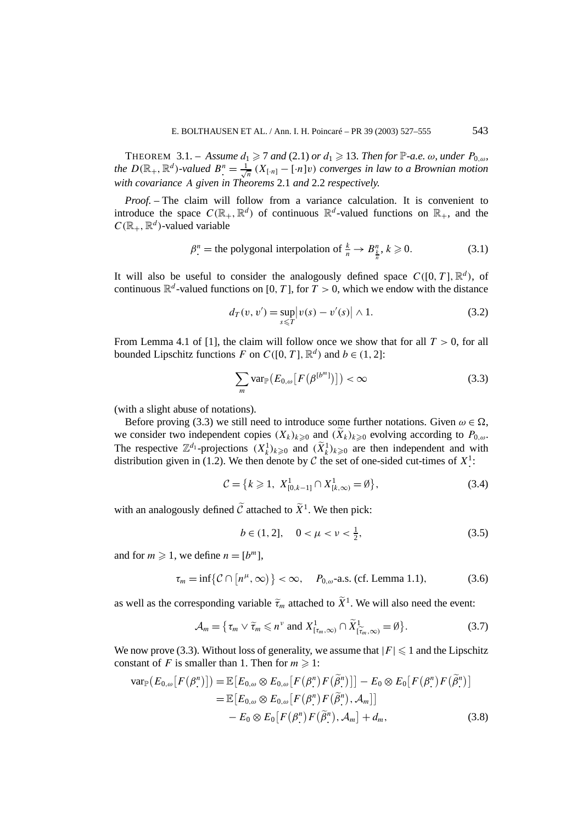THEOREM 3.1. – *Assume*  $d_1 \geq 7$  *and* (2.1) *or*  $d_1 \geq 13$ *. Then for*  $\mathbb{P}\text{-}a.e.$  *ω, under*  $P_{0,\omega}$ *, the*  $D(\mathbb{R}_+, \mathbb{R}^d)$ -valued  $B^n = \frac{1}{\sqrt{n}} (X_{[n]} - [n]v)$  *converges in law to a Brownian motion with covariance A given in Theorems* 2.1 *and* 2.2 *respectively.*

*Proof. –* The claim will follow from a variance calculation. It is convenient to introduce the space  $C(\mathbb{R}_+, \mathbb{R}^d)$  of continuous  $\mathbb{R}^d$ -valued functions on  $\mathbb{R}_+$ , and the  $C(\mathbb{R}_+, \mathbb{R}^d)$ -valued variable

$$
\beta_{\cdot}^{n} = \text{the polygonal interpolation of } \frac{k}{n} \to B_{\frac{k}{n}}^{n}, k \geq 0. \tag{3.1}
$$

It will also be useful to consider the analogously defined space  $C([0, T], \mathbb{R}^d)$ , of continuous  $\mathbb{R}^d$ -valued functions on [0, T], for  $T > 0$ , which we endow with the distance

$$
d_T(v, v') = \sup_{s \leq T} |v(s) - v'(s)| \wedge 1.
$$
 (3.2)

From Lemma 4.1 of [1], the claim will follow once we show that for all  $T > 0$ , for all bounded Lipschitz functions *F* on  $C([0, T], \mathbb{R}^d)$  and  $b \in (1, 2]$ :

$$
\sum_{m} \text{var}_{\mathbb{P}}\big(E_{0,\omega}\big[F\big(\beta^{[b^m]}\big)\big]\big) < \infty \tag{3.3}
$$

(with a slight abuse of notations).

Before proving (3.3) we still need to introduce some further notations. Given  $\omega \in \Omega$ , we consider two independent copies  $(X_k)_{k\geqslant 0}$  and  $(X_k)_{k\geqslant 0}$  evolving according to  $P_{0,\omega}$ . The respective  $\mathbb{Z}^{d_1}$ -projections  $(X_k^1)_{k\geqslant 0}$  and  $(\widetilde{X}_k^1)_{k\geqslant 0}$  are then independent and with distribution given in (1.2). We then denote by  $C$  the set of one-sided cut-times of  $X^1$ .

$$
\mathcal{C} = \{k \ge 1, \ X^1_{[0,k-1]} \cap X^1_{[k,\infty)} = \emptyset\},\tag{3.4}
$$

with an analogously defined  $\tilde{C}$  attached to  $\tilde{X}$ <sup>1</sup>. We then pick:

$$
b \in (1, 2], \quad 0 < \mu < \nu < \frac{1}{2}, \tag{3.5}
$$

and for  $m \geq 1$ , we define  $n = [b^m]$ ,

$$
\tau_m = \inf \{ \mathcal{C} \cap [n^{\mu}, \infty) \} < \infty, \quad P_{0,\omega} \text{-a.s. (cf. Lemma 1.1)}, \tag{3.6}
$$

as well as the corresponding variable  $\tilde{\tau}_m$  attached to  $\tilde{X}^1$ . We will also need the event:

$$
\mathcal{A}_m = \{ \tau_m \vee \tilde{\tau}_m \leqslant n^{\nu} \text{ and } X^1_{[\tau_m,\infty)} \cap \tilde{X}^1_{[\tilde{\tau}_m,\infty)} = \emptyset \}. \tag{3.7}
$$

We now prove (3.3). Without loss of generality, we assume that  $|F| \leq 1$  and the Lipschitz constant of *F* is smaller than 1. Then for  $m \ge 1$ :

$$
\operatorname{var}_{\mathbb{P}}(E_{0,\omega}[F(\beta_{\cdot}^n)]) = \mathbb{E}\big[E_{0,\omega} \otimes E_{0,\omega}[F(\beta_{\cdot}^n)F(\tilde{\beta}_{\cdot}^n)]\big] - E_0 \otimes E_0[F(\beta_{\cdot}^n)F(\tilde{\beta}_{\cdot}^n)]
$$
  
\n
$$
= \mathbb{E}\big[E_{0,\omega} \otimes E_{0,\omega}[F(\beta_{\cdot}^n)F(\tilde{\beta}_{\cdot}^n), \mathcal{A}_m]\big]
$$
  
\n
$$
- E_0 \otimes E_0[F(\beta_{\cdot}^n)F(\tilde{\beta}_{\cdot}^n), \mathcal{A}_m] + d_m,
$$
\n(3.8)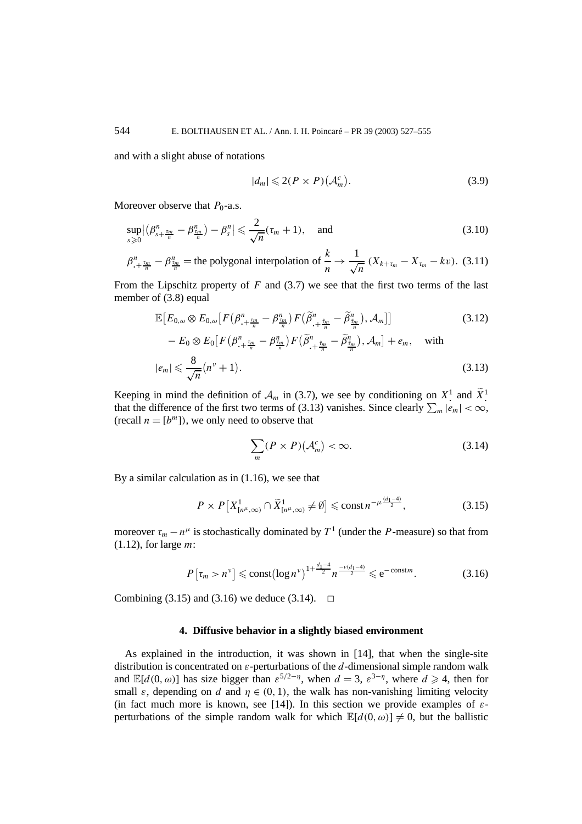and with a slight abuse of notations

$$
|d_m| \leqslant 2(P \times P)\left(\mathcal{A}_m^c\right). \tag{3.9}
$$

Moreover observe that  $P_0$ -a.s.

$$
\sup_{s\geqslant 0} \left| \left( \beta_{s+\frac{r_m}{n}}^n - \beta_{\frac{r_m}{n}}^n \right) - \beta_s^n \right| \leqslant \frac{2}{\sqrt{n}} (\tau_m + 1), \quad \text{and} \tag{3.10}
$$

 $\beta_{.+\frac{r_m}{n}}^n - \beta_{\frac{r_m}{n}}^n$  = the polygonal interpolation of  $\frac{k_m}{n}$ *n*  $\to \frac{1}{\sqrt{n}} (X_{k+\tau_m} - X_{\tau_m} - kv).$  (3.11)

From the Lipschitz property of *F* and (3.7) we see that the first two terms of the last member of (3.8) equal

$$
\mathbb{E}\left[E_{0,\omega}\otimes E_{0,\omega}\left[F\left(\beta_{\cdot+\frac{\tau_m}{n}}^n-\beta_{\frac{\tau_m}{n}}^n\right)F\left(\tilde{\beta}_{\cdot+\frac{\tilde{\tau}_m}{n}}^n-\tilde{\beta}_{\frac{\tilde{\tau}_m}{n}}^n\right),\mathcal{A}_m\right]\right]
$$
\n
$$
-E_0\otimes E_0\left[F\left(\beta_{\cdot+\frac{\tau_m}{n}}^n-\beta_{\frac{\tau_m}{n}}^n\right)F\left(\tilde{\beta}_{\cdot+\frac{\tilde{\tau}_m}{n}}^n-\tilde{\beta}_{\frac{\tilde{\tau}_m}{n}}^n\right),\mathcal{A}_m\right]+e_m,\quad \text{with}
$$
\n
$$
|e_m| \leq \frac{8}{\sqrt{n}}(n^{\nu}+1).
$$
\n(3.13)

Keeping in mind the definition of  $\mathcal{A}_m$  in (3.7), we see by conditioning on  $X^1$  and  $\widetilde{X}^1$ . Keeping in mind the definition of  $A_m$  in (3.7), we see by conditioning on  $X^1$  and  $X^1$ .<br>that the difference of the first two terms of (3.13) vanishes. Since clearly  $\sum_m |e_m| < \infty$ , (recall  $n = [b^m]$ ), we only need to observe that

$$
\sum_{m}(P \times P)(\mathcal{A}_{m}^{c}) < \infty. \tag{3.14}
$$

By a similar calculation as in (1.16), we see that

$$
P \times P\left[X_{\left[n^{\mu},\infty\right)}^{1} \cap \widetilde{X}_{\left[n^{\mu},\infty\right)}^{1} \neq \emptyset\right] \leqslant \mathrm{const} \, n^{-\mu \frac{(d_{1}-4)}{2}},\tag{3.15}
$$

moreover  $\tau_m - n^{\mu}$  is stochastically dominated by  $T^1$  (under the *P*-measure) so that from (1.12), for large *m*:

$$
P\left[\tau_m > n^{\nu}\right] \leqslant \text{const}\big(\log n^{\nu}\big)^{1 + \frac{d_1 - 4}{2}} n^{\frac{-\nu(d_1 - 4)}{2}} \leqslant e^{-\text{const }m}.\tag{3.16}
$$

Combining (3.15) and (3.16) we deduce (3.14).  $\Box$ 

#### **4. Diffusive behavior in a slightly biased environment**

As explained in the introduction, it was shown in [14], that when the single-site distribution is concentrated on *ε*-perturbations of the *d*-dimensional simple random walk and  $\mathbb{E}[d(0,\omega)]$  has size bigger than  $\varepsilon^{5/2-\eta}$ , when  $d=3$ ,  $\varepsilon^{3-\eta}$ , where  $d \ge 4$ , then for small  $\varepsilon$ , depending on *d* and  $\eta \in (0, 1)$ , the walk has non-vanishing limiting velocity (in fact much more is known, see [14]). In this section we provide examples of *ε*perturbations of the simple random walk for which  $\mathbb{E}[d(0,\omega)] \neq 0$ , but the ballistic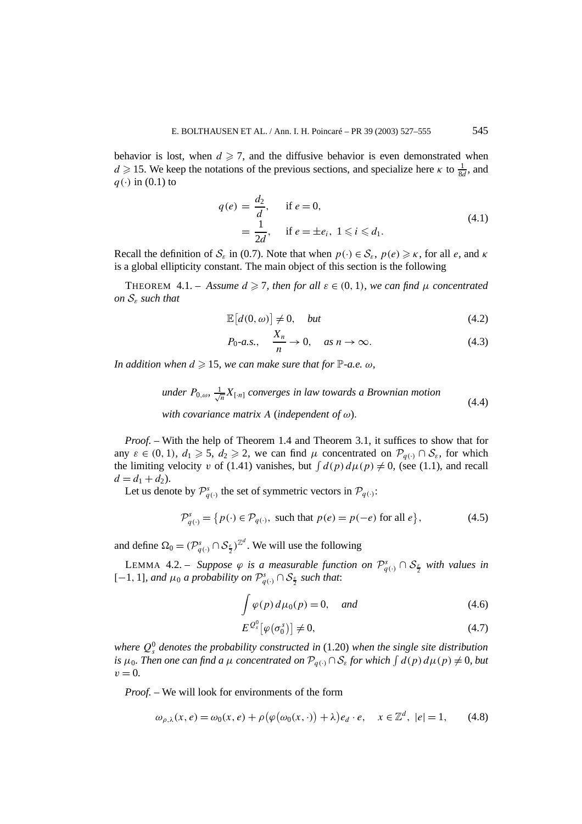behavior is lost, when  $d \ge 7$ , and the diffusive behavior is even demonstrated when  $d \ge 15$ . We keep the notations of the previous sections, and specialize here *κ* to  $\frac{1}{8d}$ , and  $q(\cdot)$  in (0.1) to

$$
q(e) = \frac{d_2}{d}, \quad \text{if } e = 0,
$$
  
=  $\frac{1}{2d}$ , if  $e = \pm e_i$ ,  $1 \le i \le d_1$ . (4.1)

Recall the definition of  $S_{\varepsilon}$  in (0.7). Note that when  $p(\cdot) \in S_{\varepsilon}$ ,  $p(e) \geq \kappa$ , for all *e*, and  $\kappa$ is a global ellipticity constant. The main object of this section is the following

THEOREM 4.1. – Assume  $d \ge 7$ , then for all  $\varepsilon \in (0, 1)$ , we can find  $\mu$  concentrated *on* S*<sup>ε</sup> such that*

$$
\mathbb{E}\left[d(0,\omega)\right] \neq 0, \quad \text{but} \tag{4.2}
$$

$$
P_0-a.s., \quad \frac{X_n}{n} \to 0, \quad as \; n \to \infty. \tag{4.3}
$$

*In addition when*  $d \ge 15$ *, we can make sure that for*  $\mathbb{P}\text{-}a.e.$   $\omega$ *,* 

under 
$$
P_{0,\omega}
$$
,  $\frac{1}{\sqrt{n}}X_{[n]}$  converges in law towards a Brownian motion  
with covariance matrix A (independent of  $\omega$ ). (4.4)

*Proof. –* With the help of Theorem 1.4 and Theorem 3.1, it suffices to show that for any  $\varepsilon \in (0, 1)$ ,  $d_1 \geq 5$ ,  $d_2 \geq 2$ , we can find  $\mu$  concentrated on  $\mathcal{P}_{q(\cdot)} \cap \mathcal{S}_{\varepsilon}$ , for which the limiting velocity *v* of (1.41) vanishes, but  $\int d(p) d\mu(p) \neq 0$ , (see (1.1), and recall  $d = d_1 + d_2$ .

Let us denote by  $\mathcal{P}^s_{q(\cdot)}$  the set of symmetric vectors in  $\mathcal{P}_{q(\cdot)}$ :

$$
\mathcal{P}_{q(\cdot)}^s = \{ p(\cdot) \in \mathcal{P}_{q(\cdot)}, \text{ such that } p(e) = p(-e) \text{ for all } e \},\tag{4.5}
$$

and define  $\Omega_0 = (\mathcal{P}_{q(\cdot)}^s \cap \mathcal{S}_{\frac{s}{2}})^{\mathbb{Z}^d}$ . We will use the following

LEMMA 4.2. – *Suppose*  $\varphi$  *is a measurable function on*  $\mathcal{P}^s_{q(\cdot)} \cap \mathcal{S}_{\frac{\varepsilon}{2}}$  *with values in* [−1*,* <sup>1</sup>]*, and <sup>µ</sup>*<sup>0</sup> *a probability on* <sup>P</sup>*<sup>s</sup> q(*·*)* ∩ S*<sup>ε</sup>* <sup>2</sup> *such that*:

$$
\int \varphi(p) d\mu_0(p) = 0, \quad and \tag{4.6}
$$

$$
E^{\mathcal{Q}_s^0}[\varphi(\sigma_0^s)] \neq 0,\tag{4.7}
$$

*where Q*<sup>0</sup> *<sup>s</sup> denotes the probability constructed in* (1.20) *when the single site distribution is*  $\mu_0$ . Then one can find a  $\mu$  concentrated on  $\mathcal{P}_{q(\cdot)} \cap \mathcal{S}_{\varepsilon}$  for which  $\int d(p) d\mu(p) \neq 0$ , but  $v = 0$ .

*Proof. –* We will look for environments of the form

$$
\omega_{\rho,\lambda}(x,e) = \omega_0(x,e) + \rho \big( \varphi \big( \omega_0(x,\cdot) \big) + \lambda \big) e_d \cdot e, \quad x \in \mathbb{Z}^d, \ |e| = 1,\tag{4.8}
$$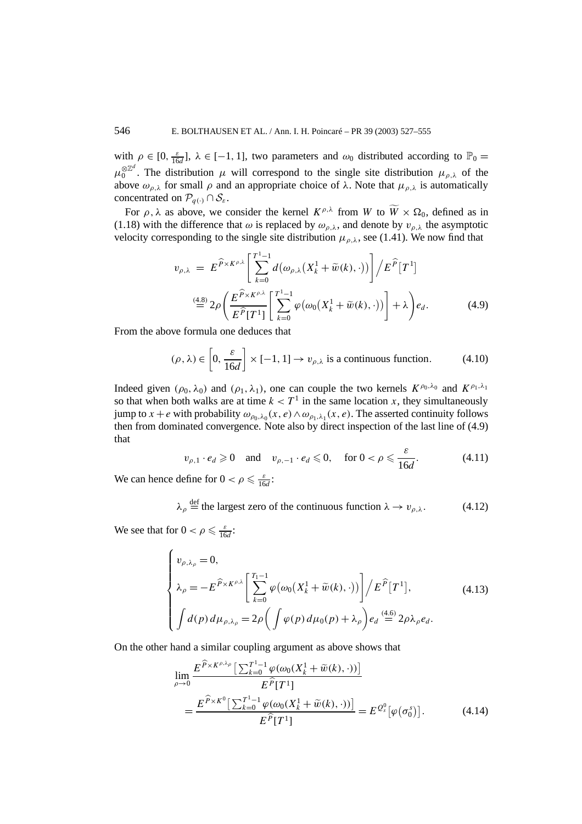with  $\rho \in [0, \frac{\varepsilon}{16d}]$ ,  $\lambda \in [-1, 1]$ , two parameters and  $\omega_0$  distributed according to  $\mathbb{P}_0 =$  $\mu_0^{\otimes \mathbb{Z}^d}$ . The distribution  $\mu$  will correspond to the single site distribution  $\mu_{\rho,\lambda}$  of the above  $\omega_{\rho,\lambda}$  for small  $\rho$  and an appropriate choice of  $\lambda$ . Note that  $\mu_{\rho,\lambda}$  is automatically concentrated on  $\mathcal{P}_{q(\cdot)} \cap \mathcal{S}_{\varepsilon}$ .

For  $\rho$ ,  $\lambda$  as above, we consider the kernel  $K^{\rho,\lambda}$  from W to  $\overline{W} \times \Omega_0$ , defined as in (1.18) with the difference that  $\omega$  is replaced by  $\omega_{\rho,\lambda}$ , and denote by  $v_{\rho,\lambda}$  the asymptotic velocity corresponding to the single site distribution  $\mu_{\rho,\lambda}$ , see (1.41). We now find that

$$
v_{\rho,\lambda} = E^{\widehat{P} \times K^{\rho,\lambda}} \left[ \sum_{k=0}^{T^1 - 1} d(\omega_{\rho,\lambda}(X_k^1 + \widetilde{w}(k), \cdot)) \right] / E^{\widehat{P}}[T^1]
$$
  
\n
$$
\stackrel{\text{(4.8)}}{=} 2\rho \left( \frac{E^{\widehat{P} \times K^{\rho,\lambda}}}{E^{\widehat{P}}[T^1]} \left[ \sum_{k=0}^{T^1 - 1} \varphi(\omega_0(X_k^1 + \widetilde{w}(k), \cdot)) \right] + \lambda \right) e_d.
$$
\n(4.9)

From the above formula one deduces that

$$
(\rho, \lambda) \in \left[0, \frac{\varepsilon}{16d}\right] \times [-1, 1] \to v_{\rho, \lambda} \text{ is a continuous function.}
$$
 (4.10)

Indeed given  $(\rho_0, \lambda_0)$  and  $(\rho_1, \lambda_1)$ , one can couple the two kernels  $K^{\rho_0, \lambda_0}$  and  $K^{\rho_1, \lambda_1}$ so that when both walks are at time  $k < T<sup>1</sup>$  in the same location *x*, they simultaneously jump to  $x + e$  with probability  $\omega_{\rho_0,\lambda_0}(x, e) \wedge \omega_{\rho_1,\lambda_1}(x, e)$ . The asserted continuity follows then from dominated convergence. Note also by direct inspection of the last line of (4.9) that

$$
v_{\rho,1} \cdot e_d \geqslant 0 \quad \text{and} \quad v_{\rho,-1} \cdot e_d \leqslant 0, \quad \text{for } 0 < \rho \leqslant \frac{\varepsilon}{16d}.\tag{4.11}
$$

We can hence define for  $0 < \rho \le \frac{\varepsilon}{16d}$ :

$$
\lambda_{\rho} \stackrel{\text{def}}{=} \text{the largest zero of the continuous function } \lambda \to v_{\rho,\lambda}. \tag{4.12}
$$

We see that for  $0 < \rho \le \frac{\varepsilon}{16d}$ :

$$
\begin{cases}\nv_{\rho,\lambda_{\rho}} = 0, \\
\lambda_{\rho} = -E^{\widehat{P} \times K^{\rho,\lambda}} \left[ \sum_{k=0}^{T_1 - 1} \varphi(\omega_0(X_k^1 + \widetilde{w}(k), \cdot)) \right] / E^{\widehat{P}}[T^1], \\
\int d(p) d\mu_{\rho,\lambda_{\rho}} = 2\rho \left( \int \varphi(p) d\mu_0(p) + \lambda_{\rho} \right) e_d \stackrel{(4.6)}{=} 2\rho \lambda_{\rho} e_d.\n\end{cases}
$$
\n(4.13)

On the other hand a similar coupling argument as above shows that

$$
\lim_{\rho \to 0} \frac{E^{\widehat{P} \times K^{\rho,\lambda_{\rho}}} \left[ \sum_{k=0}^{T^{1}-1} \varphi(\omega_{0}(X_{k}^{1} + \widetilde{w}(k), \cdot)) \right]}{E^{\widehat{P}}[T^{1}]}
$$
\n
$$
= \frac{E^{\widehat{P} \times K^{0}} \left[ \sum_{k=0}^{T^{1}-1} \varphi(\omega_{0}(X_{k}^{1} + \widetilde{w}(k), \cdot)) \right]}{E^{\widehat{P}}[T^{1}]} = E^{Q_{s}^{0}} \left[ \varphi(\sigma_{0}^{s}) \right].
$$
\n(4.14)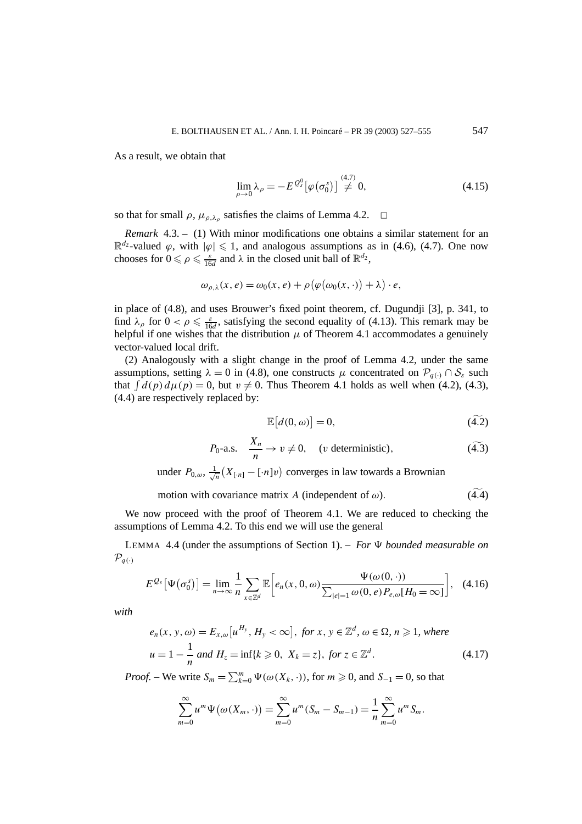As a result, we obtain that

$$
\lim_{\rho \to 0} \lambda_{\rho} = -E^{\mathcal{Q}_s^0} [\varphi(\sigma_0^s)] \stackrel{(4.7)}{\neq} 0, \tag{4.15}
$$

so that for small  $\rho$ ,  $\mu_{\rho,\lambda_\rho}$  satisfies the claims of Lemma 4.2.  $\Box$ 

*Remark* 4.3. – (1) With minor modifications one obtains a similar statement for an  $\mathbb{R}^{d_2}$ -valued  $\varphi$ , with  $|\varphi| \leq 1$ , and analogous assumptions as in (4.6), (4.7). One now chooses for  $0 \le \rho \le \frac{\varepsilon}{16d}$  and  $\lambda$  in the closed unit ball of  $\mathbb{R}^{d_2}$ ,

$$
\omega_{\rho,\lambda}(x,e) = \omega_0(x,e) + \rho \big( \varphi(\omega_0(x,\cdot)) + \lambda \big) \cdot e,
$$

in place of (4.8), and uses Brouwer's fixed point theorem, cf. Dugundji [3], p. 341, to find  $\lambda_{\rho}$  for  $0 < \rho \le \frac{\varepsilon}{16d}$ , satisfying the second equality of (4.13). This remark may be helpful if one wishes that the distribution  $\mu$  of Theorem 4.1 accommodates a genuinely vector-valued local drift.

(2) Analogously with a slight change in the proof of Lemma 4.2, under the same assumptions, setting  $\lambda = 0$  in (4.8), one constructs  $\mu$  concentrated on  $\mathcal{P}_{q(\cdot)} \cap \mathcal{S}_{\varepsilon}$  such that  $\int d(p) d\mu(p) = 0$ , but  $v \neq 0$ . Thus Theorem 4.1 holds as well when (4.2), (4.3), (4.4) are respectively replaced by:

$$
\mathbb{E}[d(0,\omega)] = 0,\tag{4.2}
$$

$$
P_0
$$
-a.s.  $\frac{X_n}{n} \to v \neq 0$ , (*v* deterministic),  $(\widetilde{4.3})$ 

under  $P_{0,\omega}$ ,  $\frac{1}{\sqrt{2}}$  $\frac{1}{n}(X_{[n]} - [\cdot n]v)$  converges in law towards a Brownian

motion with covariance matrix *A* (independent of  $\omega$ ).  $(4.4)$ 

We now proceed with the proof of Theorem 4.1. We are reduced to checking the assumptions of Lemma 4.2. To this end we will use the general

LEMMA 4.4 (under the assumptions of Section 1). – *For*  $\Psi$  *bounded measurable on*  $\mathcal{P}_{q(\cdot)}$ 

$$
E^{\mathcal{Q}_s}\left[\Psi\left(\sigma_0^s\right)\right] = \lim_{n \to \infty} \frac{1}{n} \sum_{x \in \mathbb{Z}^d} \mathbb{E}\left[e_n(x, 0, \omega) \frac{\Psi(\omega(0, \cdot))}{\sum_{|e|=1} \omega(0, e) P_{e,\omega}[H_0 = \infty]}\right], \quad (4.16)
$$

*with*

$$
e_n(x, y, \omega) = E_{x, \omega}[u^{H_y}, H_y < \infty], \text{ for } x, y \in \mathbb{Z}^d, \omega \in \Omega, n \ge 1, \text{ where}
$$
  

$$
u = 1 - \frac{1}{n} \text{ and } H_z = \inf\{k \ge 0, X_k = z\}, \text{ for } z \in \mathbb{Z}^d.
$$
 (4.17)

*Proof.* – We write  $S_m = \sum_{k=0}^m \Psi(\omega(X_k, \cdot))$ , for  $m \ge 0$ , and  $S_{-1} = 0$ , so that

$$
\sum_{m=0}^{\infty} u^m \Psi(\omega(X_m, \cdot)) = \sum_{m=0}^{\infty} u^m (S_m - S_{m-1}) = \frac{1}{n} \sum_{m=0}^{\infty} u^m S_m.
$$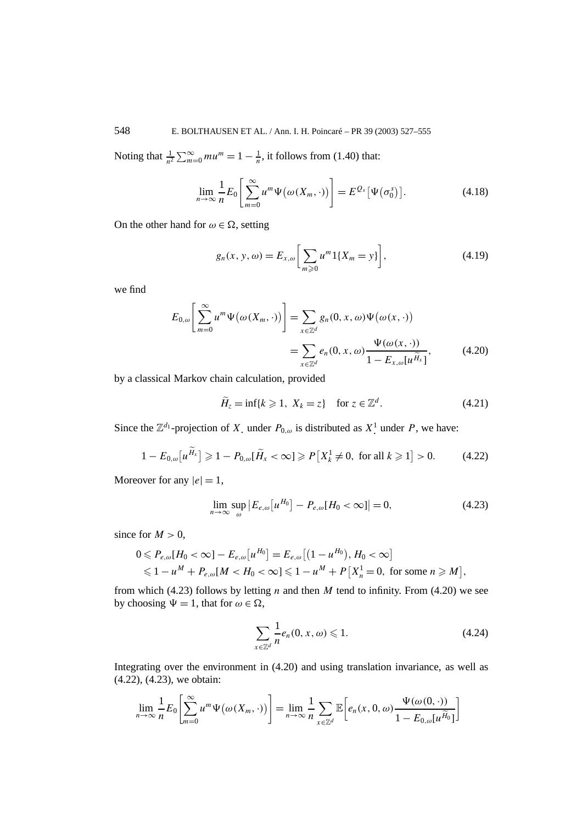Noting that  $\frac{1}{n^2} \sum_{m=0}^{\infty} m u^m = 1 - \frac{1}{n}$ , it follows from (1.40) that:

$$
\lim_{n \to \infty} \frac{1}{n} E_0 \left[ \sum_{m=0}^{\infty} u^m \Psi(\omega(X_m, \cdot)) \right] = E^{Q_s} \left[ \Psi(\sigma_0^s) \right]. \tag{4.18}
$$

On the other hand for  $\omega \in \Omega$ , setting

$$
g_n(x, y, \omega) = E_{x, \omega} \left[ \sum_{m \ge 0} u^m 1\{X_m = y\} \right],
$$
 (4.19)

we find

$$
E_{0,\omega}\left[\sum_{m=0}^{\infty} u^m \Psi(\omega(X_m, \cdot))\right] = \sum_{x \in \mathbb{Z}^d} g_n(0, x, \omega) \Psi(\omega(x, \cdot))
$$
  
= 
$$
\sum_{x \in \mathbb{Z}^d} e_n(0, x, \omega) \frac{\Psi(\omega(x, \cdot))}{1 - E_{x,\omega}[u^{\widetilde{H}_x}]},
$$
(4.20)

by a classical Markov chain calculation, provided

$$
\widetilde{H}_z = \inf\{k \geq 1, \ X_k = z\} \quad \text{for } z \in \mathbb{Z}^d. \tag{4.21}
$$

Since the  $\mathbb{Z}^{d_1}$ -projection of *X*<sub>.</sub> under  $P_{0,\omega}$  is distributed as  $X^1$  under  $P$ , we have:

$$
1 - E_{0,\omega}[u^{\widetilde{H}_x}] \ge 1 - P_{0,\omega}[\widetilde{H}_x < \infty] \ge P[X_k^1 \ne 0, \text{ for all } k \ge 1] > 0. \tag{4.22}
$$

Moreover for any  $|e|=1$ ,

$$
\lim_{n \to \infty} \sup_{\omega} |E_{e,\omega}[u^{H_0}] - P_{e,\omega}[H_0 < \infty]| = 0,
$$
\n(4.23)

since for  $M > 0$ ,

$$
0 \le P_{e,\omega}[H_0 < \infty] - E_{e,\omega}[u^{H_0}] = E_{e,\omega}[(1 - u^{H_0}), H_0 < \infty]
$$
\n
$$
\le 1 - u^M + P_{e,\omega}[M < H_0 < \infty] \le 1 - u^M + P[X_n^1 = 0, \text{ for some } n \ge M],
$$

from which (4.23) follows by letting *n* and then *M* tend to infinity. From (4.20) we see by choosing  $\Psi = 1$ , that for  $\omega \in \Omega$ ,

$$
\sum_{x \in \mathbb{Z}^d} \frac{1}{n} e_n(0, x, \omega) \leq 1. \tag{4.24}
$$

Integrating over the environment in (4.20) and using translation invariance, as well as (4.22), (4.23), we obtain:

$$
\lim_{n \to \infty} \frac{1}{n} E_0 \left[ \sum_{m=0}^{\infty} u^m \Psi(\omega(X_m, \cdot)) \right] = \lim_{n \to \infty} \frac{1}{n} \sum_{x \in \mathbb{Z}^d} \mathbb{E} \left[ e_n(x, 0, \omega) \frac{\Psi(\omega(0, \cdot))}{1 - E_{0, \omega}[u^{\widetilde{H}_0}]} \right]
$$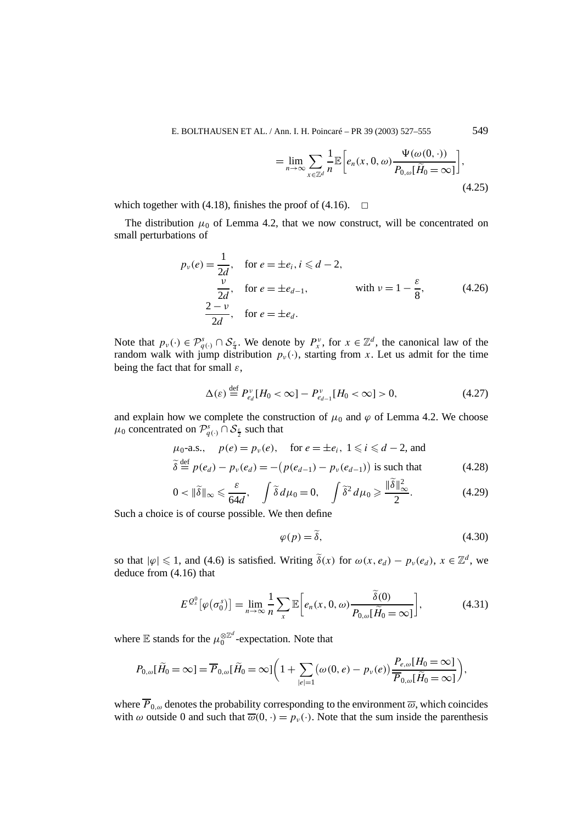E. BOLTHAUSEN ET AL. / Ann. I. H. Poincaré – PR 39 (2003) 527–555 549

$$
= \lim_{n \to \infty} \sum_{x \in \mathbb{Z}^d} \frac{1}{n} \mathbb{E} \bigg[ e_n(x, 0, \omega) \frac{\Psi(\omega(0, \cdot))}{P_{0, \omega}[\tilde{H}_0 = \infty]} \bigg],
$$
\n(4.25)

which together with (4.18), finishes the proof of (4.16).  $\Box$ 

The distribution  $\mu_0$  of Lemma 4.2, that we now construct, will be concentrated on small perturbations of

$$
p_{\nu}(e) = \frac{1}{2d}, \quad \text{for } e = \pm e_i, i \leq d - 2,
$$
  
\n
$$
\frac{\nu}{2d}, \quad \text{for } e = \pm e_{d-1}, \quad \text{with } \nu = 1 - \frac{\varepsilon}{8}, \quad (4.26)
$$
  
\n
$$
\frac{2 - \nu}{2d}, \quad \text{for } e = \pm e_d.
$$

Note that  $p_{\nu}(\cdot) \in \mathcal{P}_{q(\cdot)}^s \cap \mathcal{S}_{\frac{s}{4}}$ . We denote by  $P_{x}^{\nu}$ , for  $x \in \mathbb{Z}^d$ , the canonical law of the random walk with jump distribution  $p_{\nu}(\cdot)$ , starting from *x*. Let us admit for the time being the fact that for small *ε*,

$$
\Delta(\varepsilon) \stackrel{\text{def}}{=} P_{e_d}^{\nu} [H_0 < \infty] - P_{e_{d-1}}^{\nu} [H_0 < \infty] > 0,\tag{4.27}
$$

and explain how we complete the construction of  $\mu_0$  and  $\varphi$  of Lemma 4.2. We choose  $\mu_0$  concentrated on  $\mathcal{P}^s_{q(\cdot)} \cap \mathcal{S}_{\frac{\varepsilon}{2}}$  such that

$$
\mu_0
$$
-a.s.,  $p(e) = p_\nu(e)$ , for  $e = \pm e_i$ ,  $1 \le i \le d - 2$ , and  
\n $\delta \stackrel{\text{def}}{=} p(e_d) - p_\nu(e_d) = -(p(e_{d-1}) - p_\nu(e_{d-1}))$  is such that\n(4.28)

$$
0 < \|\tilde{\delta}\|_{\infty} \leq \frac{\varepsilon}{64d}, \quad \int \tilde{\delta} \, d\mu_0 = 0, \quad \int \tilde{\delta}^2 \, d\mu_0 \geq \frac{\|\tilde{\delta}\|_{\infty}^2}{2}.\tag{4.29}
$$

Such a choice is of course possible. We then define

$$
\varphi(p) = \tilde{\delta},\tag{4.30}
$$

so that  $|\varphi| \leq 1$ , and (4.6) is satisfied. Writing  $\tilde{\delta}(x)$  for  $\omega(x, e_d) - p_\nu(e_d)$ ,  $x \in \mathbb{Z}^d$ , we deduce from (4.16) that

$$
E^{\mathcal{Q}_s^0}[\varphi(\sigma_0^s)] = \lim_{n \to \infty} \frac{1}{n} \sum_{x} \mathbb{E}\bigg[e_n(x, 0, \omega) \frac{\delta(0)}{P_{0,\omega}[\tilde{H}_0 = \infty]}\bigg],\tag{4.31}
$$

where E stands for the  $\mu_0^{\otimes \mathbb{Z}^d}$ -expectation. Note that

$$
P_{0,\omega}[\tilde{H}_0 = \infty] = \overline{P}_{0,\omega}[\tilde{H}_0 = \infty] \bigg( 1 + \sum_{|e|=1} (\omega(0,e) - p_v(e)) \frac{P_{e,\omega}[H_0 = \infty]}{\overline{P}_{0,\omega}[\tilde{H}_0 = \infty]} \bigg),
$$

where  $\overline{P}_{0,\omega}$  denotes the probability corresponding to the environment  $\overline{\omega}$ , which coincides with  $\omega$  outside 0 and such that  $\overline{\omega}(0, \cdot) = p_{\nu}(\cdot)$ . Note that the sum inside the parenthesis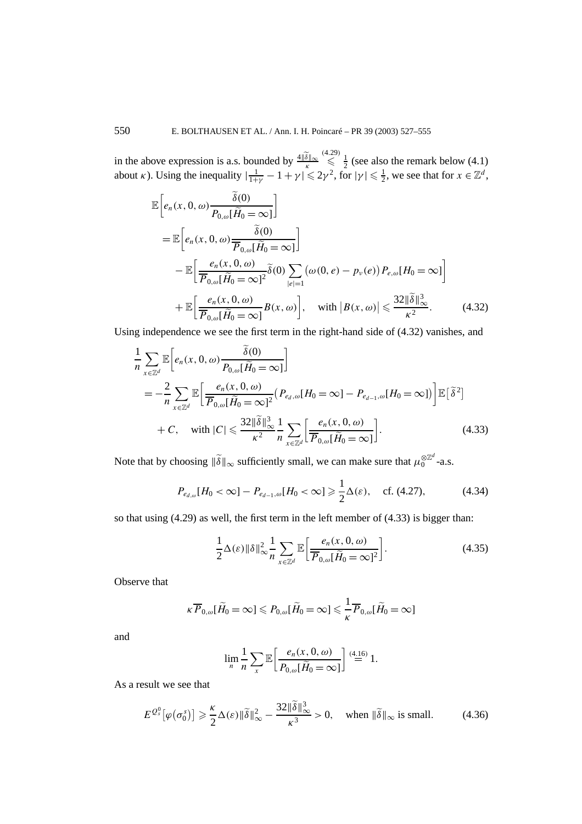in the above expression is a.s. bounded by  $\frac{4|\delta||_{\infty}}{\kappa}$  $\leq$   $\frac{1}{2}$  (see also the remark below (4.1) about *κ*). Using the inequality  $|\frac{1}{1+\gamma} - 1 + \gamma| \leq 2\gamma^2$ , for  $|\gamma| \leq \frac{1}{2}$ , we see that for  $x \in \mathbb{Z}^d$ ,

$$
\mathbb{E}\left[e_n(x,0,\omega)\frac{\tilde{\delta}(0)}{P_{0,\omega}[\tilde{H}_0=\infty]}\right]
$$
\n
$$
= \mathbb{E}\left[e_n(x,0,\omega)\frac{\tilde{\delta}(0)}{\overline{P}_{0,\omega}[\tilde{H}_0=\infty]}\right]
$$
\n
$$
- \mathbb{E}\left[\frac{e_n(x,0,\omega)}{\overline{P}_{0,\omega}[\tilde{H}_0=\infty]^2}\tilde{\delta}(0)\sum_{|e|=1} (\omega(0,e)-p_v(e))P_{e,\omega}[H_0=\infty]\right]
$$
\n
$$
+ \mathbb{E}\left[\frac{e_n(x,0,\omega)}{\overline{P}_{0,\omega}[\tilde{H}_0=\infty]}B(x,\omega)\right], \quad \text{with } |B(x,\omega)| \leq \frac{32\|\tilde{\delta}\|_{\infty}^3}{\kappa^2}.
$$
\n(4.32)

Using independence we see the first term in the right-hand side of (4.32) vanishes, and

$$
\frac{1}{n} \sum_{x \in \mathbb{Z}^d} \mathbb{E} \left[ e_n(x, 0, \omega) \frac{\delta(0)}{P_{0,\omega}[\tilde{H}_0 = \infty]} \right]
$$
\n
$$
= -\frac{2}{n} \sum_{x \in \mathbb{Z}^d} \mathbb{E} \left[ \frac{e_n(x, 0, \omega)}{\overline{P}_{0,\omega}[\tilde{H}_0 = \infty]^2} (P_{e_d,\omega}[H_0 = \infty] - P_{e_{d-1},\omega}[H_0 = \infty]) \right] \mathbb{E} \left[ \tilde{\delta}^2 \right]
$$
\n
$$
+ C, \quad \text{with } |C| \leq \frac{32 \|\tilde{\delta}\|_{\infty}^3}{\kappa^2} \frac{1}{n} \sum_{x \in \mathbb{Z}^d} \left[ \frac{e_n(x, 0, \omega)}{\overline{P}_{0,\omega}[\tilde{H}_0 = \infty]} \right]. \tag{4.33}
$$

Note that by choosing  $\|\tilde{\delta}\|_{\infty}$  sufficiently small, we can make sure that  $\mu_0^{\otimes \mathbb{Z}^d}$ -a.s.

$$
P_{e_{d,\omega}}[H_0 < \infty] - P_{e_{d-1},\omega}[H_0 < \infty] \ge \frac{1}{2}\Delta(\varepsilon), \quad \text{cf. (4.27)},
$$
 (4.34)

so that using (4.29) as well, the first term in the left member of (4.33) is bigger than:

$$
\frac{1}{2}\Delta(\varepsilon)\|\delta\|_{\infty}^2 \frac{1}{n} \sum_{x \in \mathbb{Z}^d} \mathbb{E}\bigg[\frac{e_n(x,0,\omega)}{\overline{P}_{0,\omega}[\widetilde{H}_0=\infty]^2}\bigg].\tag{4.35}
$$

Observe that

$$
\kappa \overline{P}_{0,\omega}[\widetilde{H}_0=\infty] \leqslant P_{0,\omega}[\widetilde{H}_0=\infty] \leqslant \frac{1}{\kappa} \overline{P}_{0,\omega}[\widetilde{H}_0=\infty]
$$

and

$$
\lim_{n} \frac{1}{n} \sum_{x} \mathbb{E} \left[ \frac{e_n(x, 0, \omega)}{P_{0, \omega}[\widetilde{H}_0 = \infty]} \right] \stackrel{(4.16)}{=} 1.
$$

As a result we see that

$$
E^{\mathcal{Q}_s^0}[\varphi(\sigma_0^s)] \geq \frac{\kappa}{2} \Delta(\varepsilon) \|\widetilde{\delta}\|_{\infty}^2 - \frac{32 \|\widetilde{\delta}\|_{\infty}^3}{\kappa^3} > 0, \quad \text{when } \|\widetilde{\delta}\|_{\infty} \text{ is small.} \tag{4.36}
$$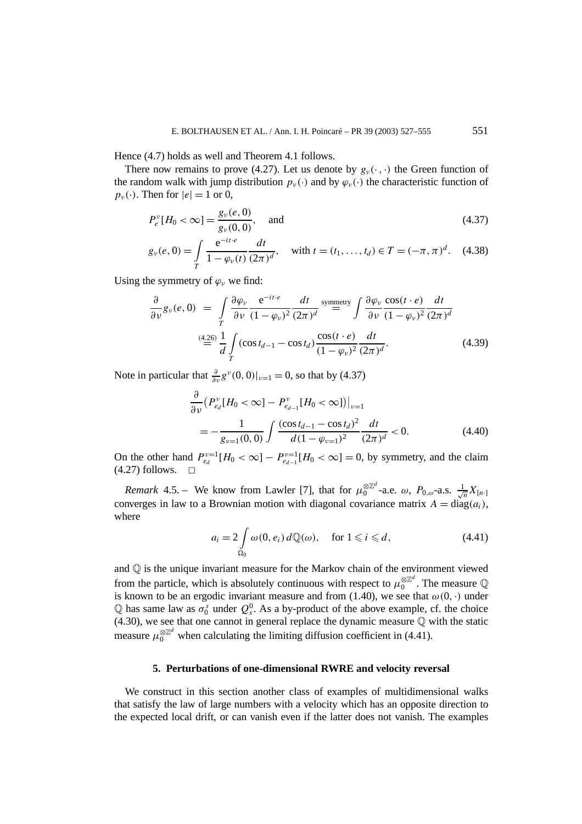Hence (4.7) holds as well and Theorem 4.1 follows.

There now remains to prove (4.27). Let us denote by  $g_{\nu}(\cdot, \cdot)$  the Green function of the random walk with jump distribution  $p_{\nu}(\cdot)$  and by  $\varphi_{\nu}(\cdot)$  the characteristic function of  $p_v(\cdot)$ . Then for  $|e|=1$  or 0,

$$
P_e^{\nu}[H_0 < \infty] = \frac{g_{\nu}(e, 0)}{g_{\nu}(0, 0)}, \quad \text{and} \tag{4.37}
$$

$$
g_{\nu}(e, 0) = \int_{T} \frac{e^{-it \cdot e}}{1 - \varphi_{\nu}(t)} \frac{dt}{(2\pi)^{d}}, \quad \text{with } t = (t_1, \dots, t_d) \in T = (-\pi, \pi)^{d}.
$$
 (4.38)

Using the symmetry of  $\varphi$ <sup>*w*</sup> we find:

$$
\frac{\partial}{\partial \nu} g_{\nu}(e,0) = \int_{T} \frac{\partial \varphi_{\nu}}{\partial \nu} \frac{e^{-it \cdot e}}{(1 - \varphi_{\nu})^2} \frac{dt}{(2\pi)^d} \stackrel{\text{symmetry}}{=} \int \frac{\partial \varphi_{\nu}}{\partial \nu} \frac{\cos(t \cdot e)}{(1 - \varphi_{\nu})^2} \frac{dt}{(2\pi)^d}
$$
\n
$$
\stackrel{(4.26)}{=} \frac{1}{d} \int_{T} (\cos t_{d-1} - \cos t_d) \frac{\cos(t \cdot e)}{(1 - \varphi_{\nu})^2} \frac{dt}{(2\pi)^d}.
$$
\n(4.39)

Note in particular that  $\frac{\partial}{\partial y} g^{\nu}(0,0)|_{\nu=1} = 0$ , so that by (4.37)

$$
\frac{\partial}{\partial \nu} \left( P_{e_d}^{\nu} [H_0 < \infty] - P_{e_{d-1}}^{\nu} [H_0 < \infty] \right) \Big|_{\nu=1}
$$
\n
$$
= -\frac{1}{g_{\nu=1}(0,0)} \int \frac{(\cos t_{d-1} - \cos t_d)^2}{d(1 - \varphi_{\nu=1})^2} \frac{dt}{(2\pi)^d} < 0. \tag{4.40}
$$

On the other hand  $P_{e_d}^{v=1}[H_0 < \infty] - P_{e_{d-1}}^{v=1}[H_0 < \infty] = 0$ , by symmetry, and the claim  $(4.27)$  follows.

*Remark* 4.5. – We know from Lawler [7], that for  $\mu_0^{\otimes \mathbb{Z}^d}$ -a.e.  $\omega$ ,  $P_{0,\omega}$ -a.s.  $\frac{1}{\sqrt{n}}X_{[n]}$ converges in law to a Brownian motion with diagonal covariance matrix  $A = \text{diag}(a_i)$ , where

$$
a_i = 2 \int_{\Omega_0} \omega(0, e_i) d\mathbb{Q}(\omega), \quad \text{for } 1 \leq i \leq d,
$$
 (4.41)

and  $\mathbb Q$  is the unique invariant measure for the Markov chain of the environment viewed from the particle, which is absolutely continuous with respect to  $\mu_0^{\otimes \mathbb{Z}^d}$ . The measure  $\mathbb Q$ is known to be an ergodic invariant measure and from (1.40), we see that  $\omega(0, \cdot)$  under Q has same law as  $\sigma_0^s$  under  $Q_s^0$ . As a by-product of the above example, cf. the choice (4.30), we see that one cannot in general replace the dynamic measure Q with the static measure  $\mu_0^{\otimes \mathbb{Z}^d}$  when calculating the limiting diffusion coefficient in (4.41).

#### **5. Perturbations of one-dimensional RWRE and velocity reversal**

We construct in this section another class of examples of multidimensional walks that satisfy the law of large numbers with a velocity which has an opposite direction to the expected local drift, or can vanish even if the latter does not vanish. The examples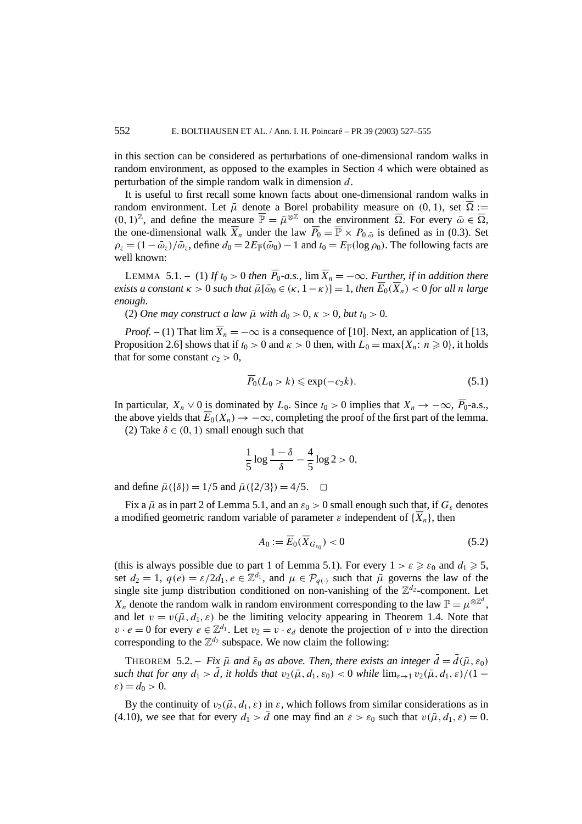in this section can be considered as perturbations of one-dimensional random walks in random environment, as opposed to the examples in Section 4 which were obtained as perturbation of the simple random walk in dimension *d*.

It is useful to first recall some known facts about one-dimensional random walks in random environment. Let  $\bar{\mu}$  denote a Borel probability measure on (0, 1), set  $\bar{\Omega}$  :=  $(0, 1)^\mathbb{Z}$ , and define the measure  $\overline{\mathbb{P}} = \overline{\mu}^{\otimes \mathbb{Z}}$  on the environment  $\overline{\Omega}$ . For every  $\overline{\omega} \in \overline{\Omega}$ , the one-dimensional walk  $\overline{X}_n$  under the law  $\overline{P}_0 = \overline{\mathbb{P}} \times P_{0,\bar{\omega}}$  is defined as in (0.3). Set  $\rho_z = (1 - \bar{\omega}_z)/\bar{\omega}_z$ , define  $d_0 = 2E_{\bar{\mathbb{P}}}(\bar{\omega}_0) - 1$  and  $t_0 = E_{\bar{\mathbb{P}}}(\log \rho_0)$ . The following facts are well known:

LEMMA 5.1. – (1) If  $t_0 > 0$  then  $\overline{P}_0$ -a.s.,  $\lim \overline{X}_n = -\infty$ . Further, if in addition there  $e$ *xists a constant*  $\kappa > 0$  *such that*  $\bar{\mu}[\bar{\omega}_0 \in (\kappa, 1 - \kappa)] = 1$ *, then*  $\overline{E}_0(\overline{X}_n) < 0$  for all n large *enough.*

(2) *One may construct a law*  $\bar{\mu}$  *with*  $d_0 > 0$ ,  $\kappa > 0$ , *but*  $t_0 > 0$ .

*Proof.* – (1) That  $\lim \overline{X}_n = -\infty$  is a consequence of [10]. Next, an application of [13, Proposition 2.6] shows that if  $t_0 > 0$  and  $\kappa > 0$  then, with  $L_0 = \max\{X_n : n \ge 0\}$ , it holds that for some constant  $c_2 > 0$ ,

$$
\overline{P}_0(L_0 > k) \le \exp(-c_2 k). \tag{5.1}
$$

In particular,  $X_n \vee 0$  is dominated by  $L_0$ . Since  $t_0 > 0$  implies that  $X_n \to -\infty$ ,  $\overline{P}_0$ -a.s., the above yields that  $\overline{E}_0(X_n) \to -\infty$ , completing the proof of the first part of the lemma.

(2) Take  $\delta \in (0, 1)$  small enough such that

$$
\frac{1}{5}\log\frac{1-\delta}{\delta}-\frac{4}{5}\log 2>0,
$$

and define  $\bar{\mu}(\{\delta\}) = 1/5$  and  $\bar{\mu}(\{2/3\}) = 4/5$ .  $\Box$ 

Fix a  $\bar{\mu}$  as in part 2 of Lemma 5.1, and an  $\varepsilon_0 > 0$  small enough such that, if  $G_{\varepsilon}$  denotes a modified geometric random variable of parameter  $\varepsilon$  independent of  $\{\overline{X}_n\}$ , then

$$
A_0 := \overline{E}_0(\overline{X}_{G_{\varepsilon_0}}) < 0 \tag{5.2}
$$

(this is always possible due to part 1 of Lemma 5.1). For every  $1 > \varepsilon \geq \varepsilon_0$  and  $d_1 \geq 5$ , set  $d_2 = 1$ ,  $q(e) = \varepsilon/2d_1$ ,  $e \in \mathbb{Z}^{d_1}$ , and  $\mu \in \mathcal{P}_{q(\cdot)}$  such that  $\bar{\mu}$  governs the law of the single site jump distribution conditioned on non-vanishing of the  $\mathbb{Z}^{d_2}$ -component. Let *X<sub>n</sub>* denote the random walk in random environment corresponding to the law  $\mathbb{P} = \mu^{\otimes \mathbb{Z}^d}$ , and let  $v = v(\bar{\mu}, d_1, \varepsilon)$  be the limiting velocity appearing in Theorem 1.4. Note that  $v \cdot e = 0$  for every  $e \in \mathbb{Z}^{d_1}$ . Let  $v_2 = v \cdot e_d$  denote the projection of *v* into the direction corresponding to the  $\mathbb{Z}^{d_2}$  subspace. We now claim the following:

**THEOREM** 5.2. – *Fix*  $\bar{\mu}$  *and*  $\bar{\varepsilon}_0$  *as above. Then, there exists an integer*  $\bar{d} = \bar{d}(\bar{\mu}, \varepsilon_0)$ *such that for any*  $d_1 > \overline{d}$ , *it holds that*  $v_2(\overline{\mu}, d_1, \varepsilon_0) < 0$  *while*  $\lim_{\varepsilon \to 1} v_2(\overline{\mu}, d_1, \varepsilon)/(1 - \overline{\nu})$  $\varepsilon$ ) =  $d_0 > 0$ .

By the continuity of  $v_2(\bar{\mu}, d_1, \varepsilon)$  in  $\varepsilon$ , which follows from similar considerations as in (4.10), we see that for every  $d_1 > \overline{d}$  one may find an  $\varepsilon > \varepsilon_0$  such that  $v(\overline{\mu}, d_1, \varepsilon) = 0$ .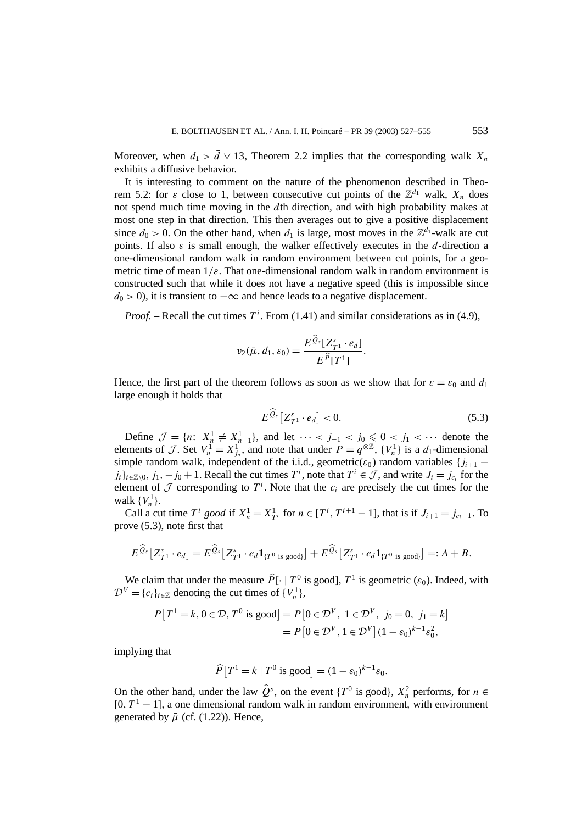Moreover, when  $d_1 > d \vee 13$ , Theorem 2.2 implies that the corresponding walk  $X_n$ exhibits a diffusive behavior.

It is interesting to comment on the nature of the phenomenon described in Theorem 5.2: for  $\varepsilon$  close to 1, between consecutive cut points of the  $\mathbb{Z}^{d_1}$  walk,  $X_n$  does not spend much time moving in the *d*th direction, and with high probability makes at most one step in that direction. This then averages out to give a positive displacement since  $d_0 > 0$ . On the other hand, when  $d_1$  is large, most moves in the  $\mathbb{Z}^{d_1}$ -walk are cut points. If also  $\varepsilon$  is small enough, the walker effectively executes in the *d*-direction a one-dimensional random walk in random environment between cut points, for a geometric time of mean  $1/\varepsilon$ . That one-dimensional random walk in random environment is constructed such that while it does not have a negative speed (this is impossible since  $d_0$  > 0), it is transient to  $-\infty$  and hence leads to a negative displacement.

*Proof.* – Recall the cut times  $T^i$ . From (1.41) and similar considerations as in (4.9),

$$
v_2(\bar{\mu}, d_1, \varepsilon_0) = \frac{E^{\bar{Q}_s}[Z^s_{T^1} \cdot e_d]}{E^{\widehat{P}}[T^1]}.
$$

Hence, the first part of the theorem follows as soon as we show that for  $\varepsilon = \varepsilon_0$  and  $d_1$ large enough it holds that

$$
E^{\widehat{Q}_s}[Z_{T^1}^s \cdot e_d] < 0. \tag{5.3}
$$

Define  $\mathcal{J} = \{n: X_n^1 \neq X_{n-1}^1\}$ , and let  $\cdots < j_{-1} < j_0 \leq 0 < j_1 < \cdots$  denote the elements of J. Set  $V_n^1 = X_{j_n}^1$ , and note that under  $P = q^{\otimes \mathbb{Z}}$ ,  $\{V_n^1\}$  is a  $d_1$ -dimensional simple random walk, independent of the i.i.d., geometric( $\varepsilon_0$ ) random variables { $j_{i+1}$  – *j<sub>i</sub>*} $i \in \mathbb{Z} \setminus 0$ , *j*<sub>1</sub>, −*j*<sub>0</sub> + 1. Recall the cut times *T<sup>i</sup>*, note that *T<sup>i</sup>* ∈ *J*, and write *J<sub>i</sub>* = *j<sub>c<sub>i</sub>*</sub> for the element of  $\mathcal J$  corresponding to  $T^i$ . Note that the  $c_i$  are precisely the cut times for the walk  $\{V_n^1\}$ .

Call a cut time  $T^i$  *good* if  $X^1_n = X^1_{T^i}$  for  $n \in [T^i, T^{i+1} - 1]$ , that is if  $J_{i+1} = j_{c_i+1}$ . To prove (5.3), note first that

$$
E^{\widehat{Q}_s}[Z_{T^1}^s \cdot e_d] = E^{\widehat{Q}_s}[Z_{T^1}^s \cdot e_d \mathbf{1}_{\{T^0 \text{ is good}\}}] + E^{\widehat{Q}_s}[Z_{T^1}^s \cdot e_d \mathbf{1}_{\{T^0 \text{ is good}\}}] =: A + B.
$$

We claim that under the measure  $\hat{P}[\cdot | T^0 \text{ is good}], T^1 \text{ is geometric } (\varepsilon_0)$ . Indeed, with  $\mathcal{D}^V = \{c_i\}_{i \in \mathbb{Z}}$  denoting the cut times of  $\{V_n^1\},$ 

$$
P[T^1 = k, 0 \in \mathcal{D}, T^0 \text{ is good}] = P[0 \in \mathcal{D}^V, 1 \in \mathcal{D}^V, j_0 = 0, j_1 = k]
$$
  
=  $P[0 \in \mathcal{D}^V, 1 \in \mathcal{D}^V] (1 - \varepsilon_0)^{k-1} \varepsilon_0^2,$ 

implying that

$$
\widehat{P}[T^1 = k | T^0 \text{ is good}] = (1 - \varepsilon_0)^{k-1} \varepsilon_0.
$$

On the other hand, under the law  $\hat{Q}^s$ , on the event  $\{T^0$  is good},  $X_n^2$  performs, for  $n \in$  $[0, T<sup>1</sup> - 1]$ , a one dimensional random walk in random environment, with environment generated by  $\bar{\mu}$  (cf. (1.22)). Hence,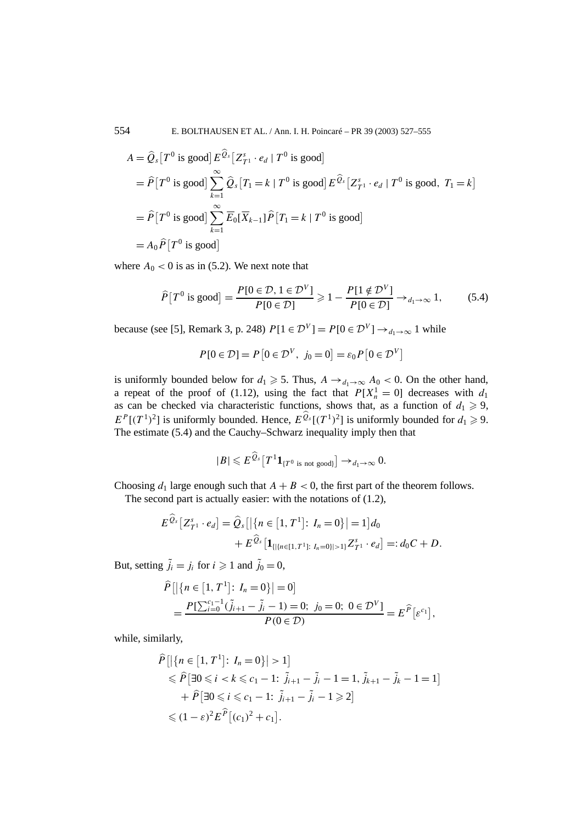554 E. BOLTHAUSEN ET AL. / Ann. I. H. Poincaré – PR 39 (2003) 527–555

$$
A = \hat{Q}_s [T^0 \text{ is good}] E^{Q_s} [Z_{T^1}^s \cdot e_d | T^0 \text{ is good}]
$$
  
=  $\hat{P} [T^0 \text{ is good}] \sum_{k=1}^{\infty} \hat{Q}_s [T_1 = k | T^0 \text{ is good}] E^{\hat{Q}_s} [Z_{T^1}^s \cdot e_d | T^0 \text{ is good}, T_1 = k]$   
=  $\hat{P} [T^0 \text{ is good}] \sum_{k=1}^{\infty} \overline{E}_0 [\overline{X}_{k-1}] \hat{P} [T_1 = k | T^0 \text{ is good}]$   
=  $A_0 \hat{P} [T^0 \text{ is good}]$ 

where  $A_0 < 0$  is as in (5.2). We next note that

$$
\widehat{P}[T^0 \text{ is good}] = \frac{P[0 \in \mathcal{D}, 1 \in \mathcal{D}^V]}{P[0 \in \mathcal{D}]} \ge 1 - \frac{P[1 \notin \mathcal{D}^V]}{P[0 \in \mathcal{D}]} \to_{d_1 \to \infty} 1,
$$
(5.4)

because (see [5], Remark 3, p. 248)  $P[1 \in \mathcal{D}^V] = P[0 \in \mathcal{D}^V] \rightarrow_{d_1 \rightarrow \infty} 1$  while

$$
P[0 \in \mathcal{D}] = P[0 \in \mathcal{D}^V, j_0 = 0] = \varepsilon_0 P[0 \in \mathcal{D}^V]
$$

is uniformly bounded below for  $d_1 \geq 5$ . Thus,  $A \rightarrow_{d_1 \rightarrow \infty} A_0 < 0$ . On the other hand, a repeat of the proof of (1.12), using the fact that  $P[X_n^1 = 0]$  decreases with  $d_1$ as can be checked via characteristic functions, shows that, as a function of  $d_1 \geq 9$ ,  $E^P[(T^1)^2]$  is uniformly bounded. Hence,  $E^{\hat{Q}_s}[(T^1)^2]$  is uniformly bounded for  $d_1 \geq 9$ . The estimate (5.4) and the Cauchy–Schwarz inequality imply then that

$$
|B| \leqslant E^{\widehat{Q}_s}[T^1 \mathbf{1}_{\{T^0 \text{ is not good}\}}] \to_{d_1 \to \infty} 0.
$$

Choosing  $d_1$  large enough such that  $A + B < 0$ , the first part of the theorem follows.

The second part is actually easier: with the notations of (1.2),

$$
E^{\widehat{Q}_s}[Z_{T^1}^s \cdot e_d] = \widehat{Q}_s[|\{n \in [1, T^1]: I_n = 0\}| = 1]d_0
$$
  
+ 
$$
E^{\widehat{Q}_s}[1_{\{|\{n \in [1, T^1]: I_n = 0\}| > 1\}} Z_{T^1}^s \cdot e_d] =: d_0C + D.
$$

But, setting  $\tilde{j}_i = j_i$  for  $i \geq 1$  and  $\tilde{j}_0 = 0$ ,

$$
\widehat{P}\left[\left|\left\{n \in [1, T^1]: I_n = 0\right\}\right| = 0\right]
$$
\n
$$
= \frac{P\left[\sum_{i=0}^{c_1 - 1} (\tilde{j}_{i+1} - \tilde{j}_i - 1) = 0; j_0 = 0; 0 \in \mathcal{D}^V\right]}{P(0 \in \mathcal{D})} = E^{\widehat{P}}\left[\varepsilon^{c_1}\right],
$$

while, similarly,

$$
\hat{P}[\{\{n \in [1, T^1]: I_n = 0\}| > 1\}]
$$
\n
$$
\leq \hat{P}[\exists 0 \leq i < k \leq c_1 - 1: \tilde{j}_{i+1} - \tilde{j}_i - 1 = 1, \tilde{j}_{k+1} - \tilde{j}_k - 1 = 1]
$$
\n
$$
+ \hat{P}[\exists 0 \leq i \leq c_1 - 1: \tilde{j}_{i+1} - \tilde{j}_i - 1 \geq 2]
$$
\n
$$
\leq (1 - \varepsilon)^2 E^{\hat{P}}[(c_1)^2 + c_1].
$$